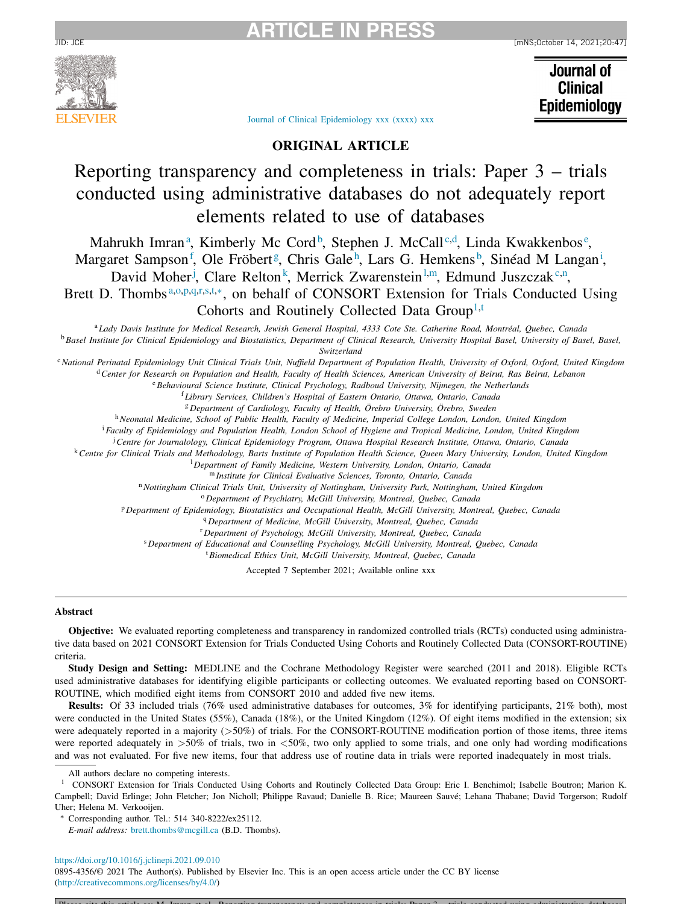



Journal of **Clinical** Epidemiology

Journal of Clinical [Epidemiology](https://doi.org/10.1016/j.jclinepi.2021.09.010) xxx (xxxx) xxx

# **ORIGINAL ARTICLE**

# Reporting transparency and completeness in trials: Paper 3 – trials conducted using administrative databases do not adequately report elements related to use of databases

Mahrukh Imran<sup>a</sup>, Kimberly Mc Cord<sup>b</sup>, Stephen J. McCall<sup>c,d</sup>, Linda Kwakkenbos<sup>e</sup>, Margaret Sampson<sup>f</sup>, Ole Fröbert<sup>g</sup>, Chris Gale<sup>h</sup>, Lars G. Hemkens<sup>b</sup>, Sinéad M Langan<sup>i</sup>,

David Moher<sup>j</sup>, Clare Relton<sup>k</sup>, Merrick Zwarenstein<sup>1,m</sup>, Edmund Juszczak<sup>c,n</sup>,

Brett D. Thombs<sup>a,o,p,q,r,s,t,\*</sup>, on behalf of CONSORT Extension for Trials Conducted Using Cohorts and Routinely Collected Data Group<sup>1,t</sup>

<sup>a</sup> Lady Davis Institute for Medical Research, Jewish General Hospital, 4333 Cote Ste. Catherine Road, Montréal, Quebec, Canada <sup>b</sup> Basel Institute for Clinical Epidemiology and Biostatistics, Department of Clinical Research, University Hospital Basel, University of Basel, Basel,

*Switzerland*

<sup>c</sup> National Perinatal Epidemiology Unit Clinical Trials Unit, Nuffield Department of Population Health, University of Oxford, Oxford, United Kingdom

<sup>d</sup> Center for Research on Population and Health, Faculty of Health Sciences, American University of Beirut, Ras Beirut, Lebanon

<sup>e</sup>*Behavioural Science Institute, Clinical Psychology, Radboud University, Nijmegen, the Netherlands*

<sup>f</sup> *Library Services, Children's Hospital of Eastern Ontario, Ottawa, Ontario, Canada*

<sup>g</sup> *Department of Cardiology, Faculty of Health, Örebro University, Örebro, Sweden*

<sup>h</sup>*Neonatal Medicine, School of Public Health, Faculty of Medicine, Imperial College London, London, United Kingdom*

<sup>i</sup> Faculty of Epidemiology and Population Health, London School of Hygiene and Tropical Medicine, London, United Kingdom

<sup>j</sup>*Centre for Journalology, Clinical Epidemiology Program, Ottawa Hospital Research Institute, Ottawa, Ontario, Canada*

<sup>k</sup> Centre for Clinical Trials and Methodology, Barts Institute of Population Health Science, Queen Mary University, London, United Kingdom

<sup>l</sup> *Department of Family Medicine, Western University, London, Ontario, Canada*

<sup>m</sup> *Institute for Clinical Evaluative Sciences, Toronto, Ontario, Canada*

<sup>n</sup>*Nottingham Clinical Trials Unit, University of Nottingham, University Park, Nottingham, United Kingdom*

<sup>o</sup> *Department of Psychiatry, McGill University, Montreal, Quebec, Canada*

<sup>p</sup> *Department of Epidemiology, Biostatistics and Occupational Health, McGill University, Montreal, Quebec, Canada*

<sup>q</sup> *Department of Medicine, McGill University, Montreal, Quebec, Canada*

<sup>r</sup> *Department of Psychology, McGill University, Montreal, Quebec, Canada*

<sup>s</sup> *Department of Educational and Counselling Psychology, McGill University, Montreal, Quebec, Canada*

<sup>t</sup>*Biomedical Ethics Unit, McGill University, Montreal, Quebec, Canada*

Accepted 7 September 2021; Available online xxx

#### **Abstract**

**Objective:** We evaluated reporting completeness and transparency in randomized controlled trials (RCTs) conducted using administrative data based on 2021 CONSORT Extension for Trials Conducted Using Cohorts and Routinely Collected Data (CONSORT-ROUTINE) criteria.

**Study Design and Setting:** MEDLINE and the Cochrane Methodology Register were searched (2011 and 2018). Eligible RCTs used administrative databases for identifying eligible participants or collecting outcomes. We evaluated reporting based on CONSORT-ROUTINE, which modified eight items from CONSORT 2010 and added five new items.

**Results:** Of 33 included trials (76% used administrative databases for outcomes, 3% for identifying participants, 21% both), most were conducted in the United States (55%), Canada (18%), or the United Kingdom (12%). Of eight items modified in the extension; six were adequately reported in a majority ( $>50\%$ ) of trials. For the CONSORT-ROUTINE modification portion of those items, three items were reported adequately in >50% of trials, two in <50%, two only applied to some trials, and one only had wording modifications and was not evaluated. For five new items, four that address use of routine data in trials were reported inadequately in most trials.

All authors declare no competing interests.

<sup>1</sup> CONSORT Extension for Trials Conducted Using Cohorts and Routinely Collected Data Group: Eric I. Benchimol; Isabelle Boutron; Marion K. Campbell; David Erlinge; John Fletcher; Jon Nicholl; Philippe Ravaud; Danielle B. Rice; Maureen Sauvé; Lehana Thabane; David Torgerson; Rudolf Uher; Helena M. Verkooijen.

Corresponding author. Tel.: 514 340-8222/ex25112.

*E-mail address:* [brett.thombs@mcgill.ca](mailto:brett.thombs@mcgill.ca) (B.D. Thombs).

<https://doi.org/10.1016/j.jclinepi.2021.09.010>

0895-4356/© 2021 The Author(s). Published by Elsevier Inc. This is an open access article under the CC BY license [\(http://creativecommons.org/licenses/by/4.0/\)](http://creativecommons.org/licenses/by/4.0/)

Please cite this article as: M Imran et al Reporting transparency and completeness in trials: Paper 3 trials conducted using administrative databases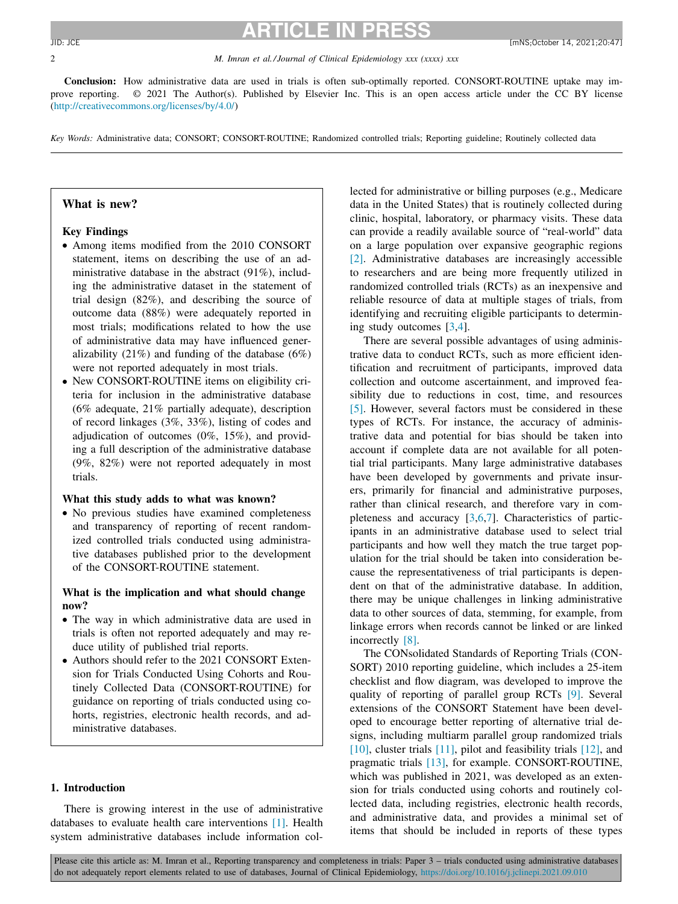#### 2 *M. Imran et al./ Journal of Clinical Epidemiology xxx (xxxx) xxx*

**Conclusion:** How administrative data are used in trials is often sub-optimally reported. CONSORT-ROUTINE uptake may improve reporting. © 2021 The Author(s). Published by Elsevier Inc. This is an open access article under the CC BY license [\(http://creativecommons.org/licenses/by/4.0/\)](http://creativecommons.org/licenses/by/4.0/)

*Key Words:* Administrative data; CONSORT; CONSORT-ROUTINE; Randomized controlled trials; Reporting guideline; Routinely collected data

# **What is new?**

# **Key Findings**

- Among items modified from the 2010 CONSORT statement, items on describing the use of an administrative database in the abstract (91%), including the administrative dataset in the statement of trial design (82%), and describing the source of outcome data (88%) were adequately reported in most trials; modifications related to how the use of administrative data may have influenced generalizability (21%) and funding of the database  $(6\%)$ were not reported adequately in most trials.
- New CONSORT-ROUTINE items on eligibility criteria for inclusion in the administrative database (6% adequate, 21% partially adequate), description of record linkages (3%, 33%), listing of codes and adjudication of outcomes (0%, 15%), and providing a full description of the administrative database (9%, 82%) were not reported adequately in most trials.

#### **What this study adds to what was known?**

• No previous studies have examined completeness and transparency of reporting of recent randomized controlled trials conducted using administrative databases published prior to the development of the CONSORT-ROUTINE statement.

### **What is the implication and what should change now?**

- The way in which administrative data are used in trials is often not reported adequately and may reduce utility of published trial reports.
- Authors should refer to the 2021 CONSORT Extension for Trials Conducted Using Cohorts and Routinely Collected Data (CONSORT-ROUTINE) for guidance on reporting of trials conducted using cohorts, registries, electronic health records, and administrative databases.

#### **1. Introduction**

There is growing interest in the use of administrative databases to evaluate health care interventions [\[1\].](#page-24-0) Health system administrative databases include information collected for administrative or billing purposes (e.g., Medicare data in the United States) that is routinely collected during clinic, hospital, laboratory, or pharmacy visits. These data can provide a readily available source of "real-world" data on a large population over expansive geographic regions [\[2\].](#page-24-0) Administrative databases are increasingly accessible to researchers and are being more frequently utilized in randomized controlled trials (RCTs) as an inexpensive and reliable resource of data at multiple stages of trials, from identifying and recruiting eligible participants to determining study outcomes [\[3,4\]](#page-24-0).

There are several possible advantages of using administrative data to conduct RCTs, such as more efficient identification and recruitment of participants, improved data collection and outcome ascertainment, and improved feasibility due to reductions in cost, time, and resources [\[5\].](#page-24-0) However, several factors must be considered in these types of RCTs. For instance, the accuracy of administrative data and potential for bias should be taken into account if complete data are not available for all potential trial participants. Many large administrative databases have been developed by governments and private insurers, primarily for financial and administrative purposes, rather than clinical research, and therefore vary in completeness and accuracy [\[3,6,7\]](#page-24-0). Characteristics of participants in an administrative database used to select trial participants and how well they match the true target population for the trial should be taken into consideration because the representativeness of trial participants is dependent on that of the administrative database. In addition, there may be unique challenges in linking administrative data to other sources of data, stemming, for example, from linkage errors when records cannot be linked or are linked incorrectly [\[8\].](#page-24-0)

The CONsolidated Standards of Reporting Trials (CON-SORT) 2010 reporting guideline, which includes a 25-item checklist and flow diagram, was developed to improve the quality of reporting of parallel group RCTs [\[9\].](#page-24-0) Several extensions of the CONSORT Statement have been developed to encourage better reporting of alternative trial designs, including multiarm parallel group randomized trials [\[10\],](#page-24-0) cluster trials [\[11\],](#page-24-0) pilot and feasibility trials [\[12\],](#page-24-0) and pragmatic trials [\[13\],](#page-24-0) for example. CONSORT-ROUTINE, which was published in 2021, was developed as an extension for trials conducted using cohorts and routinely collected data, including registries, electronic health records, and administrative data, and provides a minimal set of items that should be included in reports of these types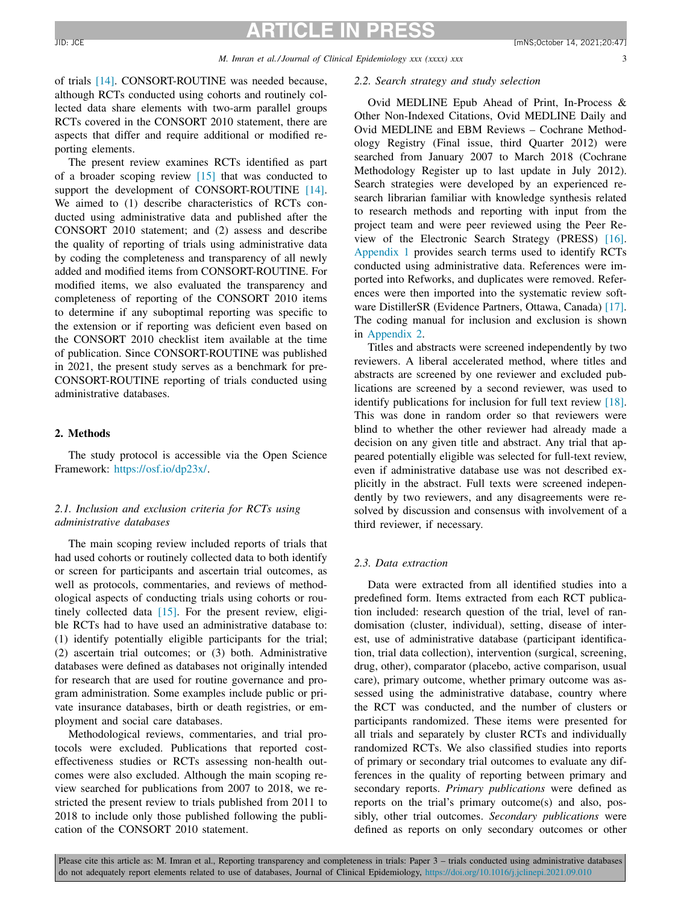of trials [\[14\].](#page-24-0) CONSORT-ROUTINE was needed because, although RCTs conducted using cohorts and routinely collected data share elements with two-arm parallel groups RCTs covered in the CONSORT 2010 statement, there are aspects that differ and require additional or modified reporting elements.

The present review examines RCTs identified as part of a broader scoping review [\[15\]](#page-24-0) that was conducted to support the development of CONSORT-ROUTINE [\[14\].](#page-24-0) We aimed to (1) describe characteristics of RCTs conducted using administrative data and published after the CONSORT 2010 statement; and (2) assess and describe the quality of reporting of trials using administrative data by coding the completeness and transparency of all newly added and modified items from CONSORT-ROUTINE. For modified items, we also evaluated the transparency and completeness of reporting of the CONSORT 2010 items to determine if any suboptimal reporting was specific to the extension or if reporting was deficient even based on the CONSORT 2010 checklist item available at the time of publication. Since CONSORT-ROUTINE was published in 2021, the present study serves as a benchmark for pre-CONSORT-ROUTINE reporting of trials conducted using administrative databases.

#### **2. Methods**

The study protocol is accessible via the Open Science Framework: [https://osf.io/dp23x/.](https://osf.io/dp23x/)

# *2.1. Inclusion and exclusion criteria for RCTs using administrative databases*

The main scoping review included reports of trials that had used cohorts or routinely collected data to both identify or screen for participants and ascertain trial outcomes, as well as protocols, commentaries, and reviews of methodological aspects of conducting trials using cohorts or routinely collected data [\[15\].](#page-24-0) For the present review, eligible RCTs had to have used an administrative database to: (1) identify potentially eligible participants for the trial; (2) ascertain trial outcomes; or (3) both. Administrative databases were defined as databases not originally intended for research that are used for routine governance and program administration. Some examples include public or private insurance databases, birth or death registries, or employment and social care databases.

Methodological reviews, commentaries, and trial protocols were excluded. Publications that reported costeffectiveness studies or RCTs assessing non-health outcomes were also excluded. Although the main scoping review searched for publications from 2007 to 2018, we restricted the present review to trials published from 2011 to 2018 to include only those published following the publication of the CONSORT 2010 statement.

#### *2.2. Search strategy and study selection*

Ovid MEDLINE Epub Ahead of Print, In-Process & Other Non-Indexed Citations, Ovid MEDLINE Daily and Ovid MEDLINE and EBM Reviews – Cochrane Methodology Registry (Final issue, third Quarter 2012) were searched from January 2007 to March 2018 (Cochrane Methodology Register up to last update in July 2012). Search strategies were developed by an experienced research librarian familiar with knowledge synthesis related to research methods and reporting with input from the project team and were peer reviewed using the Peer Review of the Electronic Search Strategy (PRESS) [\[16\].](#page-24-0) [Appendix](#page-10-0) 1 provides search terms used to identify RCTs conducted using administrative data. References were imported into Refworks, and duplicates were removed. References were then imported into the systematic review software DistillerSR (Evidence Partners, Ottawa, Canada) [\[17\].](#page-24-0) The coding manual for inclusion and exclusion is shown in [Appendix](#page-10-0) 2.

Titles and abstracts were screened independently by two reviewers. A liberal accelerated method, where titles and abstracts are screened by one reviewer and excluded publications are screened by a second reviewer, was used to identify publications for inclusion for full text review [\[18\].](#page-24-0) This was done in random order so that reviewers were blind to whether the other reviewer had already made a decision on any given title and abstract. Any trial that appeared potentially eligible was selected for full-text review, even if administrative database use was not described explicitly in the abstract. Full texts were screened independently by two reviewers, and any disagreements were resolved by discussion and consensus with involvement of a third reviewer, if necessary.

#### *2.3. Data extraction*

Data were extracted from all identified studies into a predefined form. Items extracted from each RCT publication included: research question of the trial, level of randomisation (cluster, individual), setting, disease of interest, use of administrative database (participant identification, trial data collection), intervention (surgical, screening, drug, other), comparator (placebo, active comparison, usual care), primary outcome, whether primary outcome was assessed using the administrative database, country where the RCT was conducted, and the number of clusters or participants randomized. These items were presented for all trials and separately by cluster RCTs and individually randomized RCTs. We also classified studies into reports of primary or secondary trial outcomes to evaluate any differences in the quality of reporting between primary and secondary reports. *Primary publications* were defined as reports on the trial's primary outcome(s) and also, possibly, other trial outcomes. *Secondary publications* were defined as reports on only secondary outcomes or other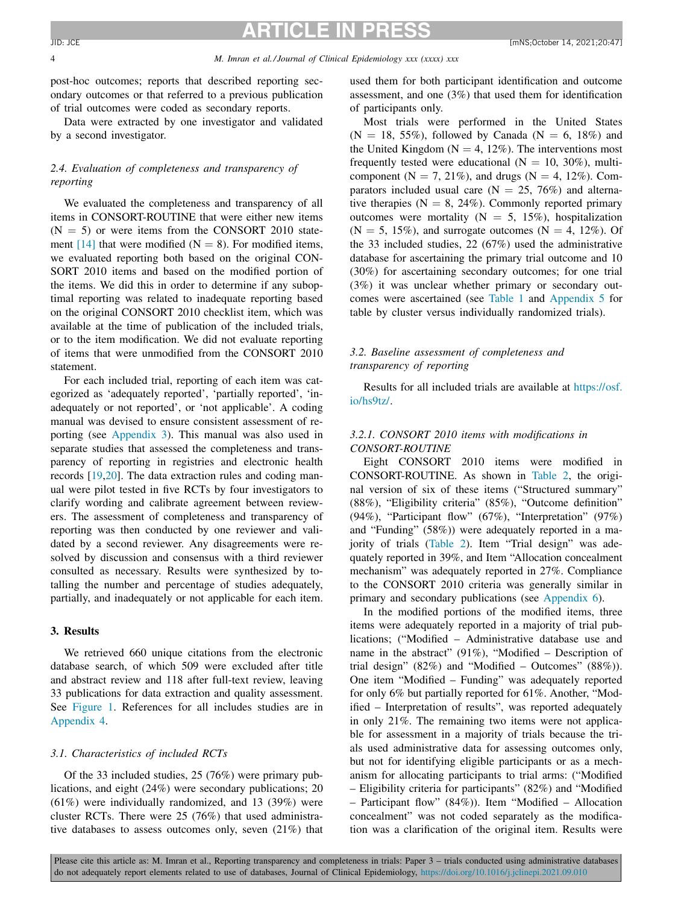#### 4 *M. Imran et al./ Journal of Clinical Epidemiology xxx (xxxx) xxx*

post-hoc outcomes; reports that described reporting secondary outcomes or that referred to a previous publication of trial outcomes were coded as secondary reports.

Data were extracted by one investigator and validated by a second investigator.

# *2.4. Evaluation of completeness and transparency of reporting*

We evaluated the completeness and transparency of all items in CONSORT-ROUTINE that were either new items  $(N = 5)$  or were items from the CONSORT 2010 state-ment [\[14\]](#page-24-0) that were modified ( $N = 8$ ). For modified items, we evaluated reporting both based on the original CON-SORT 2010 items and based on the modified portion of the items. We did this in order to determine if any suboptimal reporting was related to inadequate reporting based on the original CONSORT 2010 checklist item, which was available at the time of publication of the included trials, or to the item modification. We did not evaluate reporting of items that were unmodified from the CONSORT 2010 statement.

For each included trial, reporting of each item was categorized as 'adequately reported', 'partially reported', 'inadequately or not reported', or 'not applicable'. A coding manual was devised to ensure consistent assessment of reporting (see [Appendix](#page-10-0) 3). This manual was also used in separate studies that assessed the completeness and transparency of reporting in registries and electronic health records [\[19,20\]](#page-24-0). The data extraction rules and coding manual were pilot tested in five RCTs by four investigators to clarify wording and calibrate agreement between reviewers. The assessment of completeness and transparency of reporting was then conducted by one reviewer and validated by a second reviewer. Any disagreements were resolved by discussion and consensus with a third reviewer consulted as necessary. Results were synthesized by totalling the number and percentage of studies adequately, partially, and inadequately or not applicable for each item.

#### **3. Results**

We retrieved 660 unique citations from the electronic database search, of which 509 were excluded after title and abstract review and 118 after full-text review, leaving 33 publications for data extraction and quality assessment. See [Figure](#page-4-0) 1. References for all includes studies are in [Appendix](#page-15-0) 4.

#### *3.1. Characteristics of included RCTs*

Of the 33 included studies, 25 (76%) were primary publications, and eight (24%) were secondary publications; 20 (61%) were individually randomized, and 13 (39%) were cluster RCTs. There were 25 (76%) that used administrative databases to assess outcomes only, seven (21%) that used them for both participant identification and outcome assessment, and one (3%) that used them for identification of participants only.

Most trials were performed in the United States  $(N = 18, 55\%)$ , followed by Canada  $(N = 6, 18\%)$  and the United Kingdom ( $N = 4$ , 12%). The interventions most frequently tested were educational  $(N = 10, 30\%)$ , multicomponent ( $N = 7, 21\%$ ), and drugs ( $N = 4, 12\%$ ). Comparators included usual care  $(N = 25, 76%)$  and alternative therapies ( $N = 8$ , 24%). Commonly reported primary outcomes were mortality ( $N = 5$ , 15%), hospitalization  $(N = 5, 15\%)$ , and surrogate outcomes  $(N = 4, 12\%)$ . Of the 33 included studies, 22 (67%) used the administrative database for ascertaining the primary trial outcome and 10 (30%) for ascertaining secondary outcomes; for one trial (3%) it was unclear whether primary or secondary outcomes were ascertained (see [Table](#page-5-0) 1 and [Appendix](#page-16-0) 5 for table by cluster versus individually randomized trials).

# *3.2. Baseline assessment of completeness and transparency of reporting*

Results for all included trials are available at [https://osf.](https://osf.io/hs9tz/) io/hs9tz/.

# *3.2.1. CONSORT 2010 items with modifications in CONSORT-ROUTINE*

Eight CONSORT 2010 items were modified in CONSORT-ROUTINE. As shown in [Table](#page-6-0) 2, the original version of six of these items ("Structured summary" (88%), "Eligibility criteria" (85%), "Outcome definition" (94%), "Participant flow" (67%), "Interpretation" (97%) and "Funding" (58%)) were adequately reported in a majority of trials [\(Table](#page-6-0) 2). Item "Trial design" was adequately reported in 39%, and Item "Allocation concealment mechanism" was adequately reported in 27%. Compliance to the CONSORT 2010 criteria was generally similar in primary and secondary publications (see [Appendix](#page-18-0) 6).

In the modified portions of the modified items, three items were adequately reported in a majority of trial publications; ("Modified – Administrative database use and name in the abstract" (91%), "Modified – Description of trial design" (82%) and "Modified – Outcomes" (88%)). One item "Modified – Funding" was adequately reported for only 6% but partially reported for 61%. Another, "Modified – Interpretation of results", was reported adequately in only 21%. The remaining two items were not applicable for assessment in a majority of trials because the trials used administrative data for assessing outcomes only, but not for identifying eligible participants or as a mechanism for allocating participants to trial arms: ("Modified – Eligibility criteria for participants" (82%) and "Modified – Participant flow" (84%)). Item "Modified – Allocation concealment" was not coded separately as the modification was a clarification of the original item. Results were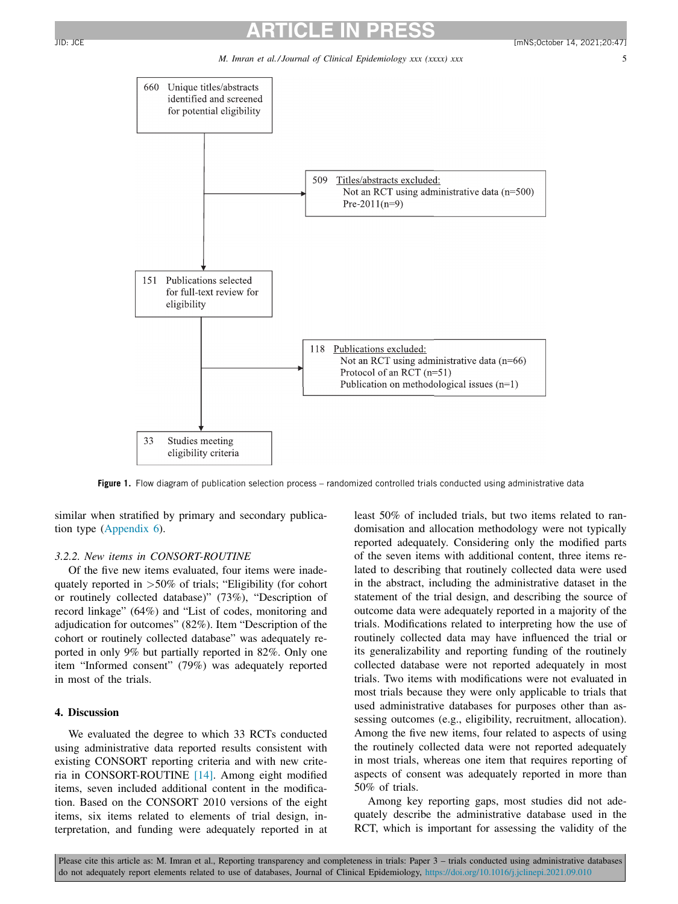*M. Imran et al./ Journal of Clinical Epidemiology xxx (xxxx) xxx* 5

<span id="page-4-0"></span>

**Figure 1.** Flow diagram of publication selection process – randomized controlled trials conducted using administrative data

similar when stratified by primary and secondary publication type [\(Appendix](#page-18-0) 6).

### *3.2.2. New items in CONSORT-ROUTINE*

Of the five new items evaluated, four items were inadequately reported in >50% of trials; "Eligibility (for cohort or routinely collected database)" (73%), "Description of record linkage" (64%) and "List of codes, monitoring and adjudication for outcomes" (82%). Item "Description of the cohort or routinely collected database" was adequately reported in only 9% but partially reported in 82%. Only one item "Informed consent" (79%) was adequately reported in most of the trials.

# **4. Discussion**

We evaluated the degree to which 33 RCTs conducted using administrative data reported results consistent with existing CONSORT reporting criteria and with new criteria in CONSORT-ROUTINE [\[14\].](#page-24-0) Among eight modified items, seven included additional content in the modification. Based on the CONSORT 2010 versions of the eight items, six items related to elements of trial design, interpretation, and funding were adequately reported in at least 50% of included trials, but two items related to randomisation and allocation methodology were not typically reported adequately. Considering only the modified parts of the seven items with additional content, three items related to describing that routinely collected data were used in the abstract, including the administrative dataset in the statement of the trial design, and describing the source of outcome data were adequately reported in a majority of the trials. Modifications related to interpreting how the use of routinely collected data may have influenced the trial or its generalizability and reporting funding of the routinely collected database were not reported adequately in most trials. Two items with modifications were not evaluated in most trials because they were only applicable to trials that used administrative databases for purposes other than assessing outcomes (e.g., eligibility, recruitment, allocation). Among the five new items, four related to aspects of using the routinely collected data were not reported adequately in most trials, whereas one item that requires reporting of aspects of consent was adequately reported in more than 50% of trials.

Among key reporting gaps, most studies did not adequately describe the administrative database used in the RCT, which is important for assessing the validity of the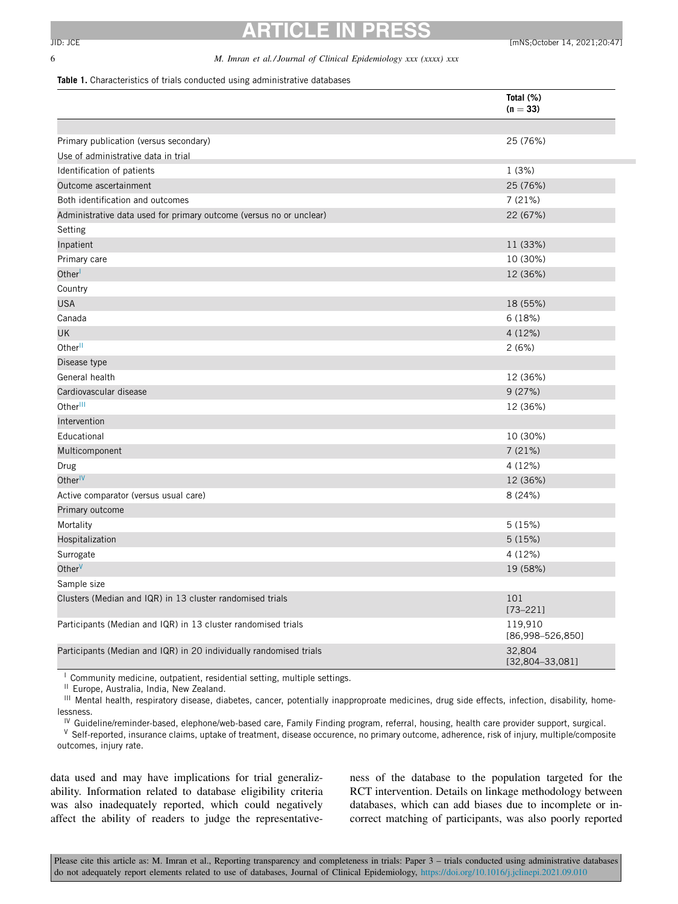### <span id="page-5-0"></span>6 *M. Imran et al./ Journal of Clinical Epidemiology xxx (xxxx) xxx*

#### **Table 1.** Characteristics of trials conducted using administrative databases

|                                                                     | Total (%)<br>$(n = 33)$         |
|---------------------------------------------------------------------|---------------------------------|
|                                                                     |                                 |
| Primary publication (versus secondary)                              | 25 (76%)                        |
| Use of administrative data in trial                                 |                                 |
| Identification of patients                                          | 1(3%)                           |
| Outcome ascertainment                                               | 25 (76%)                        |
| Both identification and outcomes                                    | 7(21%)                          |
| Administrative data used for primary outcome (versus no or unclear) | 22 (67%)                        |
| Setting                                                             |                                 |
| Inpatient                                                           | 11 (33%)                        |
| Primary care                                                        | 10 (30%)                        |
| Other                                                               | 12 (36%)                        |
| Country                                                             |                                 |
| <b>USA</b>                                                          | 18 (55%)                        |
| Canada                                                              | 6 (18%)                         |
| UK                                                                  | 4 (12%)                         |
| Other <sup>II</sup>                                                 | 2(6%)                           |
| Disease type                                                        |                                 |
| General health                                                      | 12 (36%)                        |
| Cardiovascular disease                                              | 9(27%)                          |
| Other <sup>III</sup>                                                | 12 (36%)                        |
| Intervention                                                        |                                 |
| Educational                                                         | 10 (30%)                        |
| Multicomponent                                                      | 7 (21%)                         |
| Drug                                                                | 4 (12%)                         |
| Other <sup>IV</sup>                                                 | 12 (36%)                        |
| Active comparator (versus usual care)                               | 8 (24%)                         |
| Primary outcome                                                     |                                 |
| Mortality                                                           | 5(15%)                          |
| Hospitalization                                                     | 5(15%)                          |
| Surrogate                                                           | 4 (12%)                         |
| Other <sup>V</sup>                                                  | 19 (58%)                        |
| Sample size                                                         |                                 |
| Clusters (Median and IQR) in 13 cluster randomised trials           | 101<br>$[73 - 221]$             |
| Participants (Median and IQR) in 13 cluster randomised trials       | 119,910<br>$[86,998 - 526,850]$ |
| Participants (Median and IQR) in 20 individually randomised trials  | 32,804<br>$[32,804-33,081]$     |

<sup>1</sup> Community medicine, outpatient, residential setting, multiple settings.

<sup>II</sup> Europe, Australia, India, New Zealand.

III Mental health, respiratory disease, diabetes, cancer, potentially inapproproate medicines, drug side effects, infection, disability, homelessness.

<sup>IV</sup> Guideline/reminder-based, elephone/web-based care, Family Finding program, referral, housing, health care provider support, surgical. V Self-reported, insurance claims, uptake of treatment, disease occurence, no primary outcome, adherence, risk of injury, multiple/composite outcomes, injury rate.

data used and may have implications for trial generalizability. Information related to database eligibility criteria was also inadequately reported, which could negatively affect the ability of readers to judge the representativeness of the database to the population targeted for the RCT intervention. Details on linkage methodology between databases, which can add biases due to incomplete or incorrect matching of participants, was also poorly reported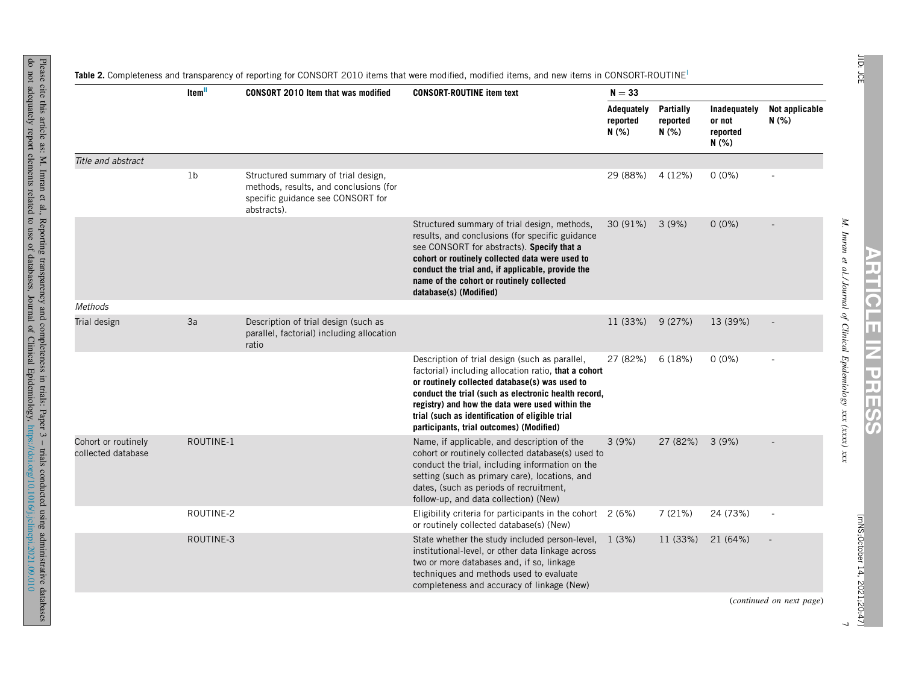<span id="page-6-0"></span>

|                                           | Item <sup>II</sup> | <b>CONSORT 2010 Item that was modified</b>                                                                                        | <b>CONSORT-ROUTINE item text</b>                                                                                                                                                                                                                                                                                                                                   | $N = 33$                        |                                |                                             |                          |
|-------------------------------------------|--------------------|-----------------------------------------------------------------------------------------------------------------------------------|--------------------------------------------------------------------------------------------------------------------------------------------------------------------------------------------------------------------------------------------------------------------------------------------------------------------------------------------------------------------|---------------------------------|--------------------------------|---------------------------------------------|--------------------------|
|                                           |                    |                                                                                                                                   |                                                                                                                                                                                                                                                                                                                                                                    | Adequately<br>reported<br>N (%) | Partially<br>reported<br>N(% ) | Inadequately<br>or not<br>reported<br>N(% ) | Not applicable<br>N (%)  |
| Title and abstract                        |                    |                                                                                                                                   |                                                                                                                                                                                                                                                                                                                                                                    |                                 |                                |                                             |                          |
|                                           | 1 <sub>b</sub>     | Structured summary of trial design,<br>methods, results, and conclusions (for<br>specific guidance see CONSORT for<br>abstracts). |                                                                                                                                                                                                                                                                                                                                                                    | 29 (88%)                        | 4 (12%)                        | $0(0\%)$                                    |                          |
|                                           |                    |                                                                                                                                   | Structured summary of trial design, methods,<br>results, and conclusions (for specific guidance<br>see CONSORT for abstracts). Specify that a<br>cohort or routinely collected data were used to<br>conduct the trial and, if applicable, provide the<br>name of the cohort or routinely collected<br>database(s) (Modified)                                       | 30 (91%)                        | 3(9%)                          | $0(0\%)$                                    |                          |
| Methods                                   |                    |                                                                                                                                   |                                                                                                                                                                                                                                                                                                                                                                    |                                 |                                |                                             |                          |
| Trial design                              | 3a                 | Description of trial design (such as<br>parallel, factorial) including allocation<br>ratio                                        |                                                                                                                                                                                                                                                                                                                                                                    | 11 (33%)                        | 9(27%)                         | 13 (39%)                                    |                          |
|                                           |                    |                                                                                                                                   | Description of trial design (such as parallel,<br>factorial) including allocation ratio, that a cohort<br>or routinely collected database(s) was used to<br>conduct the trial (such as electronic health record,<br>registry) and how the data were used within the<br>trial (such as identification of eligible trial<br>participants, trial outcomes) (Modified) | 27 (82%)                        | 6(18%)                         | $0(0\%)$                                    |                          |
| Cohort or routinely<br>collected database | ROUTINE-1          |                                                                                                                                   | Name, if applicable, and description of the<br>cohort or routinely collected database(s) used to<br>conduct the trial, including information on the<br>setting (such as primary care), locations, and<br>dates, (such as periods of recruitment,<br>follow-up, and data collection) (New)                                                                          | 3(9%)                           | 27 (82%)                       | 3(9%)                                       |                          |
|                                           | ROUTINE-2          |                                                                                                                                   | Eligibility criteria for participants in the cohort $2(6%)$<br>or routinely collected database(s) (New)                                                                                                                                                                                                                                                            |                                 | 7(21%)                         | 24 (73%)                                    |                          |
|                                           | ROUTINE-3          |                                                                                                                                   | State whether the study included person-level, 1 (3%)<br>institutional-level, or other data linkage across<br>two or more databases and, if so, linkage<br>techniques and methods used to evaluate<br>completeness and accuracy of linkage (New)                                                                                                                   |                                 | 11 (33%)                       | 21 (64%)                                    |                          |
|                                           |                    |                                                                                                                                   |                                                                                                                                                                                                                                                                                                                                                                    |                                 |                                |                                             | (continued on next page) |

databases

**ARTICLE** 

**IZ** 

 $\overline{\phantom{a}}$ 

**PRESS**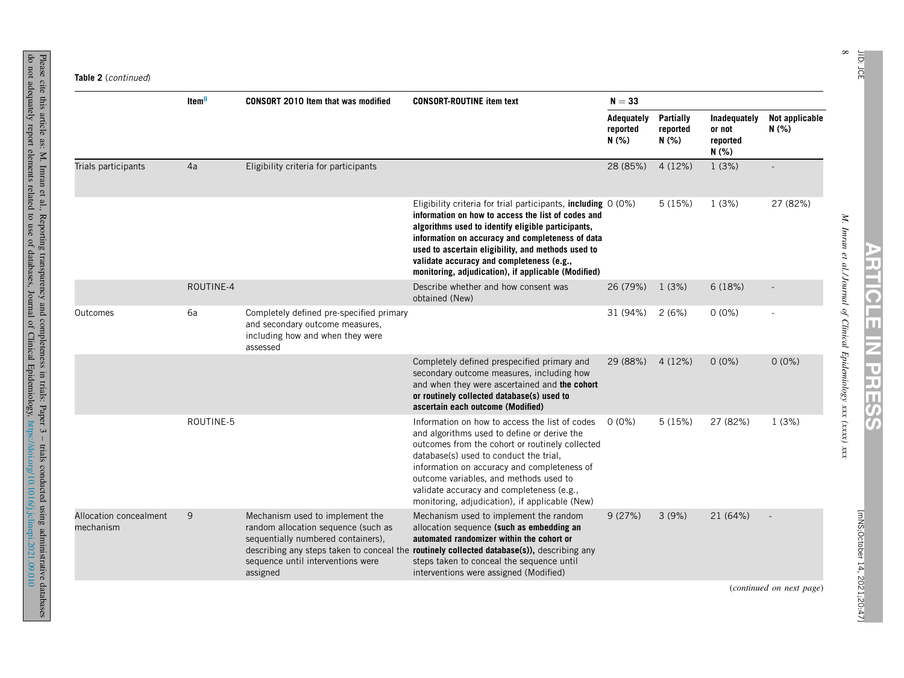do not

adequately

report

elements

related  $\overline{c}$ use of

Reporting

transparency

databases,

Journal of **Clinical** 

and

completeness

in trials:

Epidemiology,

Paper 3 – trials

conducted

using

<https://doi.org/10.1016/j.jclinepi.2021.09.010>

administrative

databases

|                                     | Item <sup>II</sup> | <b>CONSORT 2010 Item that was modified</b>                                                                                                                    | <b>CONSORT-ROUTINE item text</b>                                                                                                                                                                                                                                                                                                                                                        | $N = 33$                              |                                             |                         |                |
|-------------------------------------|--------------------|---------------------------------------------------------------------------------------------------------------------------------------------------------------|-----------------------------------------------------------------------------------------------------------------------------------------------------------------------------------------------------------------------------------------------------------------------------------------------------------------------------------------------------------------------------------------|---------------------------------------|---------------------------------------------|-------------------------|----------------|
|                                     |                    |                                                                                                                                                               | Adequately<br>reported<br>N(% )                                                                                                                                                                                                                                                                                                                                                         | <b>Partially</b><br>reported<br>N (%) | Inadequately<br>or not<br>reported<br>N(% ) | Not applicable<br>N(% ) |                |
| Trials participants                 | 4a                 | Eligibility criteria for participants                                                                                                                         |                                                                                                                                                                                                                                                                                                                                                                                         | 28 (85%)                              | 4(12%)                                      | 1(3%)                   | $\overline{a}$ |
|                                     |                    |                                                                                                                                                               | Eligibility criteria for trial participants, including 0 (0%)<br>information on how to access the list of codes and<br>algorithms used to identify eligible participants,<br>information on accuracy and completeness of data<br>used to ascertain eligibility, and methods used to<br>validate accuracy and completeness (e.g.,<br>monitoring, adjudication), if applicable (Modified) |                                       | 5(15%)                                      | 1(3%)                   | 27 (82%)       |
|                                     | ROUTINE-4          |                                                                                                                                                               | Describe whether and how consent was<br>obtained (New)                                                                                                                                                                                                                                                                                                                                  | 26 (79%)                              | 1(3%)                                       | 6(18%)                  |                |
| Outcomes                            | 6a                 | Completely defined pre-specified primary<br>and secondary outcome measures,<br>including how and when they were<br>assessed                                   |                                                                                                                                                                                                                                                                                                                                                                                         | 31 (94%)                              | 2(6%)                                       | $0(0\%)$                |                |
|                                     |                    |                                                                                                                                                               | Completely defined prespecified primary and<br>secondary outcome measures, including how<br>and when they were ascertained and the cohort<br>or routinely collected database(s) used to<br>ascertain each outcome (Modified)                                                                                                                                                            | 29 (88%)                              | 4(12%)                                      | $0(0\%)$                | $0(0\%)$       |
|                                     | ROUTINE-5          |                                                                                                                                                               | Information on how to access the list of codes<br>and algorithms used to define or derive the<br>outcomes from the cohort or routinely collected<br>database(s) used to conduct the trial,<br>information on accuracy and completeness of<br>outcome variables, and methods used to<br>validate accuracy and completeness (e.g.,<br>monitoring, adjudication), if applicable (New)      | $0(0\%)$                              | 5(15%)                                      | 27 (82%)                | 1(3%)          |
| Allocation concealment<br>mechanism | 9                  | Mechanism used to implement the<br>random allocation sequence (such as<br>sequentially numbered containers),<br>sequence until interventions were<br>assigned | Mechanism used to implement the random<br>allocation sequence (such as embedding an<br>automated randomizer within the cohort or<br>describing any steps taken to conceal the routinely collected database(s)), describing any<br>steps taken to conceal the sequence until<br>interventions were assigned (Modified)                                                                   | 9(27%)                                | 3(9%)                                       | 21 (64%)                |                |

JID: JCE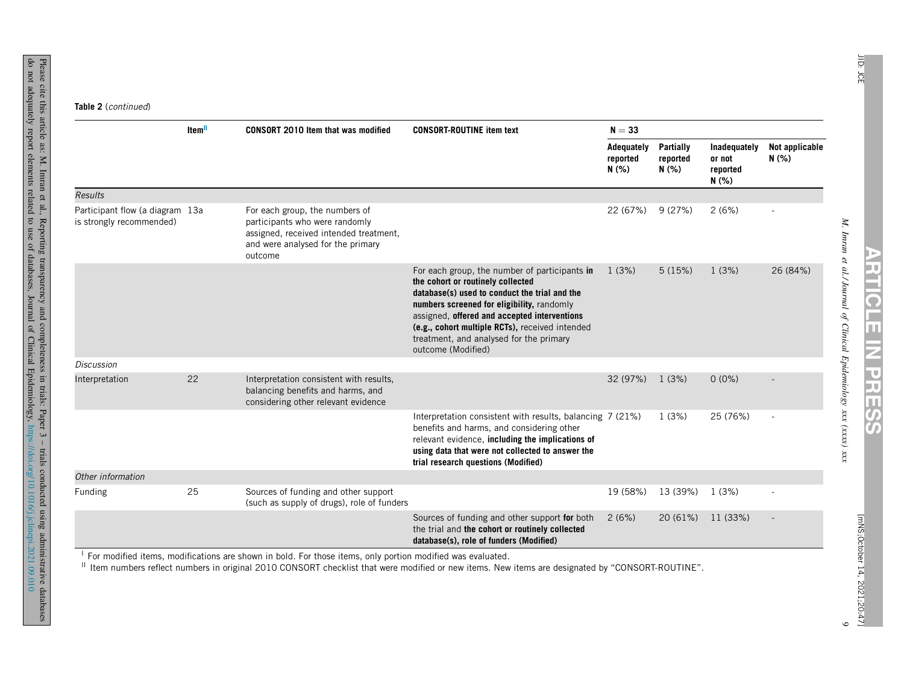|                                                             | Item <sup>II</sup> | <b>CONSORT 2010 Item that was modified</b>                                                                                                                 | $N = 33$                                                                                                                                                                                                                                                                                                                                              |                                |                                             |                         |          |
|-------------------------------------------------------------|--------------------|------------------------------------------------------------------------------------------------------------------------------------------------------------|-------------------------------------------------------------------------------------------------------------------------------------------------------------------------------------------------------------------------------------------------------------------------------------------------------------------------------------------------------|--------------------------------|---------------------------------------------|-------------------------|----------|
|                                                             |                    |                                                                                                                                                            | Adequately<br>reported<br>N(% )                                                                                                                                                                                                                                                                                                                       | Partially<br>reported<br>N(% ) | Inadequately<br>or not<br>reported<br>N(% ) | Not applicable<br>N(% ) |          |
| <b>Results</b>                                              |                    |                                                                                                                                                            |                                                                                                                                                                                                                                                                                                                                                       |                                |                                             |                         |          |
| Participant flow (a diagram 13a<br>is strongly recommended) |                    | For each group, the numbers of<br>participants who were randomly<br>assigned, received intended treatment,<br>and were analysed for the primary<br>outcome |                                                                                                                                                                                                                                                                                                                                                       | 22 (67%)                       | 9 (27%)                                     | 2(6%)                   |          |
|                                                             |                    |                                                                                                                                                            | For each group, the number of participants in<br>the cohort or routinely collected<br>database(s) used to conduct the trial and the<br>numbers screened for eligibility, randomly<br>assigned, offered and accepted interventions<br>(e.g., cohort multiple RCTs), received intended<br>treatment, and analysed for the primary<br>outcome (Modified) | 1(3%)                          | 5(15%)                                      | 1(3%)                   | 26 (84%) |
| <b>Discussion</b>                                           |                    |                                                                                                                                                            |                                                                                                                                                                                                                                                                                                                                                       |                                |                                             |                         |          |
| Interpretation                                              | 22                 | Interpretation consistent with results,<br>balancing benefits and harms, and<br>considering other relevant evidence                                        |                                                                                                                                                                                                                                                                                                                                                       | 32 (97%)                       | 1(3%)                                       | $0(0\%)$                |          |
|                                                             |                    |                                                                                                                                                            | Interpretation consistent with results, balancing 7 (21%)<br>benefits and harms, and considering other<br>relevant evidence, including the implications of<br>using data that were not collected to answer the<br>trial research questions (Modified)                                                                                                 |                                | 1(3%)                                       | 25 (76%)                |          |
| Other information                                           |                    |                                                                                                                                                            |                                                                                                                                                                                                                                                                                                                                                       |                                |                                             |                         |          |
| Funding                                                     | 25                 | Sources of funding and other support<br>(such as supply of drugs), role of funders                                                                         |                                                                                                                                                                                                                                                                                                                                                       | 19 (58%)                       | 13 (39%)                                    | 1(3%)                   |          |
|                                                             |                    |                                                                                                                                                            | Sources of funding and other support for both<br>the trial and the cohort or routinely collected<br>database(s), role of funders (Modified)                                                                                                                                                                                                           | 2(6%)                          | 20 (61%)                                    | 11 (33%)                |          |

do

**ARTICLE**

 $\circ$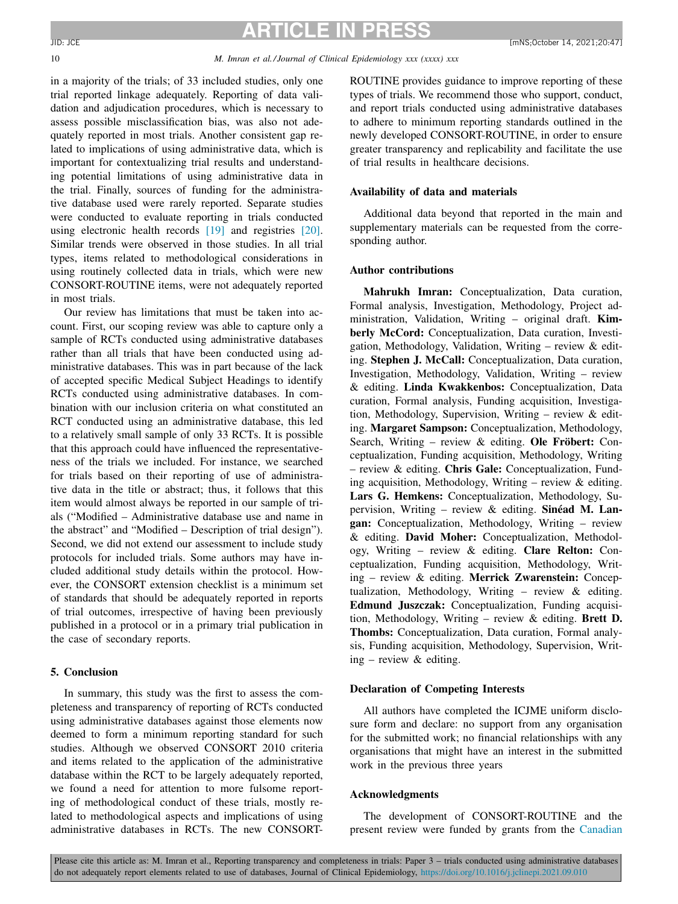<span id="page-9-0"></span>

#### 10 *M. Imran et al./ Journal of Clinical Epidemiology xxx (xxxx) xxx*

in a majority of the trials; of 33 included studies, only one trial reported linkage adequately. Reporting of data validation and adjudication procedures, which is necessary to assess possible misclassification bias, was also not adequately reported in most trials. Another consistent gap related to implications of using administrative data, which is important for contextualizing trial results and understanding potential limitations of using administrative data in the trial. Finally, sources of funding for the administrative database used were rarely reported. Separate studies were conducted to evaluate reporting in trials conducted using electronic health records [\[19\]](#page-24-0) and registries [\[20\].](#page-24-0) Similar trends were observed in those studies. In all trial types, items related to methodological considerations in using routinely collected data in trials, which were new CONSORT-ROUTINE items, were not adequately reported in most trials.

Our review has limitations that must be taken into account. First, our scoping review was able to capture only a sample of RCTs conducted using administrative databases rather than all trials that have been conducted using administrative databases. This was in part because of the lack of accepted specific Medical Subject Headings to identify RCTs conducted using administrative databases. In combination with our inclusion criteria on what constituted an RCT conducted using an administrative database, this led to a relatively small sample of only 33 RCTs. It is possible that this approach could have influenced the representativeness of the trials we included. For instance, we searched for trials based on their reporting of use of administrative data in the title or abstract; thus, it follows that this item would almost always be reported in our sample of trials ("Modified – Administrative database use and name in the abstract" and "Modified – Description of trial design"). Second, we did not extend our assessment to include study protocols for included trials. Some authors may have included additional study details within the protocol. However, the CONSORT extension checklist is a minimum set of standards that should be adequately reported in reports of trial outcomes, irrespective of having been previously published in a protocol or in a primary trial publication in the case of secondary reports.

# **5. Conclusion**

In summary, this study was the first to assess the completeness and transparency of reporting of RCTs conducted using administrative databases against those elements now deemed to form a minimum reporting standard for such studies. Although we observed CONSORT 2010 criteria and items related to the application of the administrative database within the RCT to be largely adequately reported, we found a need for attention to more fulsome reporting of methodological conduct of these trials, mostly related to methodological aspects and implications of using administrative databases in RCTs. The new CONSORT-

ROUTINE provides guidance to improve reporting of these types of trials. We recommend those who support, conduct, and report trials conducted using administrative databases to adhere to minimum reporting standards outlined in the newly developed CONSORT-ROUTINE, in order to ensure greater transparency and replicability and facilitate the use of trial results in healthcare decisions.

# **Availability of data and materials**

Additional data beyond that reported in the main and supplementary materials can be requested from the corresponding author.

# **Author contributions**

**Mahrukh Imran:** Conceptualization, Data curation, Formal analysis, Investigation, Methodology, Project administration, Validation, Writing – original draft. **Kimberly McCord:** Conceptualization, Data curation, Investigation, Methodology, Validation, Writing – review & editing. **Stephen J. McCall:** Conceptualization, Data curation, Investigation, Methodology, Validation, Writing – review & editing. **Linda Kwakkenbos:** Conceptualization, Data curation, Formal analysis, Funding acquisition, Investigation, Methodology, Supervision, Writing – review & editing. **Margaret Sampson:** Conceptualization, Methodology, Search, Writing – review & editing. **Ole Fröbert:** Conceptualization, Funding acquisition, Methodology, Writing – review & editing. **Chris Gale:** Conceptualization, Funding acquisition, Methodology, Writing – review & editing. **Lars G. Hemkens:** Conceptualization, Methodology, Supervision, Writing – review & editing. **Sinéad M. Langan:** Conceptualization, Methodology, Writing – review & editing. **David Moher:** Conceptualization, Methodology, Writing – review & editing. **Clare Relton:** Conceptualization, Funding acquisition, Methodology, Writing – review & editing. **Merrick Zwarenstein:** Conceptualization, Methodology, Writing – review & editing. **Edmund Juszczak:** Conceptualization, Funding acquisition, Methodology, Writing – review & editing. **Brett D. Thombs:** Conceptualization, Data curation, Formal analysis, Funding acquisition, Methodology, Supervision, Writing – review  $&$  editing.

# **Declaration of Competing Interests**

All authors have completed the ICJME uniform disclosure form and declare: no support from any organisation for the submitted work; no financial relationships with any organisations that might have an interest in the submitted work in the previous three years

# **Acknowledgments**

The development of CONSORT-ROUTINE and the present review were funded by grants from the [Canadian](https://doi.org/10.13039/501100000024)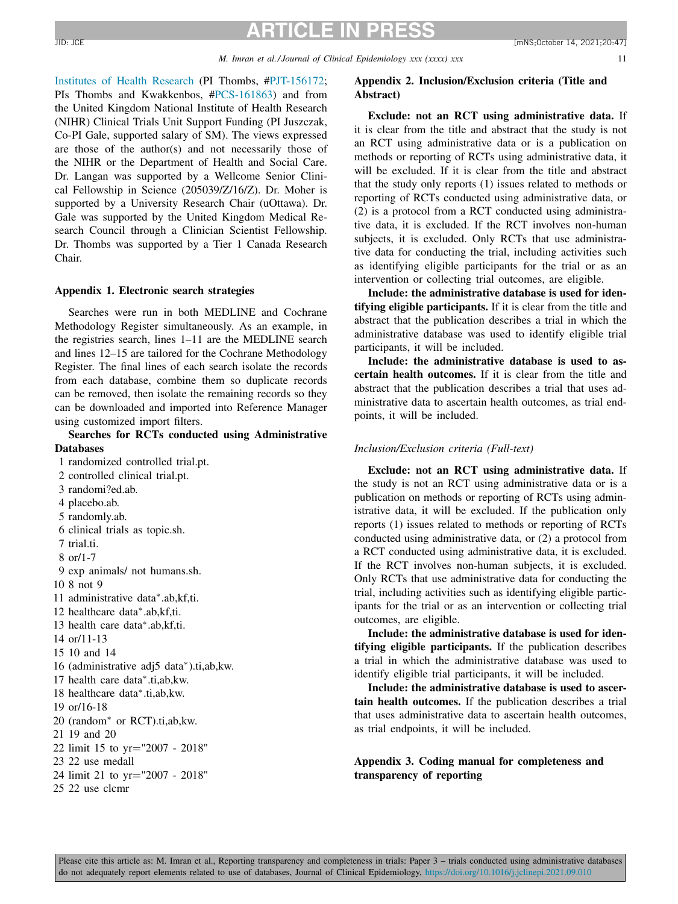<span id="page-10-0"></span>[Institutes](https://doi.org/10.13039/501100000024) of Health Research (PI Thombs, [#PJT-156172;](#page-9-0) PIs Thombs and Kwakkenbos, [#PCS-161863\)](#page-9-0) and from the United Kingdom National Institute of Health Research (NIHR) Clinical Trials Unit Support Funding (PI Juszczak, Co-PI Gale, supported salary of SM). The views expressed are those of the author(s) and not necessarily those of the NIHR or the Department of Health and Social Care. Dr. Langan was supported by a Wellcome Senior Clinical Fellowship in Science (205039/Z/16/Z). Dr. Moher is supported by a University Research Chair (uOttawa). Dr. Gale was supported by the United Kingdom Medical Research Council through a Clinician Scientist Fellowship. Dr. Thombs was supported by a Tier 1 Canada Research Chair.

### **Appendix 1. Electronic search strategies**

Searches were run in both MEDLINE and Cochrane Methodology Register simultaneously. As an example, in the registries search, lines 1–11 are the MEDLINE search and lines 12–15 are tailored for the Cochrane Methodology Register. The final lines of each search isolate the records from each database, combine them so duplicate records can be removed, then isolate the remaining records so they can be downloaded and imported into Reference Manager using customized import filters.

# **Searches for RCTs conducted using Administrative Databases**

1 randomized controlled trial.pt.

- 2 controlled clinical trial.pt.
- 3 randomi?ed.ab.
- 4 placebo.ab.
- 5 randomly.ab.
- 6 clinical trials as topic.sh.
- 7 trial.ti.
- 8 or/1-7
- 9 exp animals/ not humans.sh.
- 10 8 not 9
- 11 administrative data∗.ab,kf,ti.
- 12 healthcare data∗.ab,kf,ti.
- 13 health care data∗.ab,kf,ti.
- 14 or/11-13
- 15 10 and 14
- 16 (administrative adj5 data∗).ti,ab,kw.
- 17 health care data∗.ti,ab,kw.
- 18 healthcare data∗.ti,ab,kw.
- 19 or/16-18
- 20 (random<sup>∗</sup> or RCT).ti,ab,kw.
- 21 19 and 20
- 22 limit 15 to yr="2007 2018"
- 23 22 use medall
- 24 limit 21 to yr="2007 2018"
- 25 22 use clcmr

# **Appendix 2. Inclusion/Exclusion criteria (Title and Abstract)**

**Exclude: not an RCT using administrative data.** If it is clear from the title and abstract that the study is not an RCT using administrative data or is a publication on methods or reporting of RCTs using administrative data, it will be excluded. If it is clear from the title and abstract that the study only reports (1) issues related to methods or reporting of RCTs conducted using administrative data, or (2) is a protocol from a RCT conducted using administrative data, it is excluded. If the RCT involves non-human subjects, it is excluded. Only RCTs that use administrative data for conducting the trial, including activities such as identifying eligible participants for the trial or as an intervention or collecting trial outcomes, are eligible.

**Include: the administrative database is used for identifying eligible participants.** If it is clear from the title and abstract that the publication describes a trial in which the administrative database was used to identify eligible trial participants, it will be included.

**Include: the administrative database is used to ascertain health outcomes.** If it is clear from the title and abstract that the publication describes a trial that uses administrative data to ascertain health outcomes, as trial endpoints, it will be included.

#### *Inclusion/Exclusion criteria (Full-text)*

**Exclude: not an RCT using administrative data.** If the study is not an RCT using administrative data or is a publication on methods or reporting of RCTs using administrative data, it will be excluded. If the publication only reports (1) issues related to methods or reporting of RCTs conducted using administrative data, or (2) a protocol from a RCT conducted using administrative data, it is excluded. If the RCT involves non-human subjects, it is excluded. Only RCTs that use administrative data for conducting the trial, including activities such as identifying eligible participants for the trial or as an intervention or collecting trial outcomes, are eligible.

**Include: the administrative database is used for identifying eligible participants.** If the publication describes a trial in which the administrative database was used to identify eligible trial participants, it will be included.

**Include: the administrative database is used to ascertain health outcomes.** If the publication describes a trial that uses administrative data to ascertain health outcomes, as trial endpoints, it will be included.

**Appendix 3. Coding manual for completeness and transparency of reporting**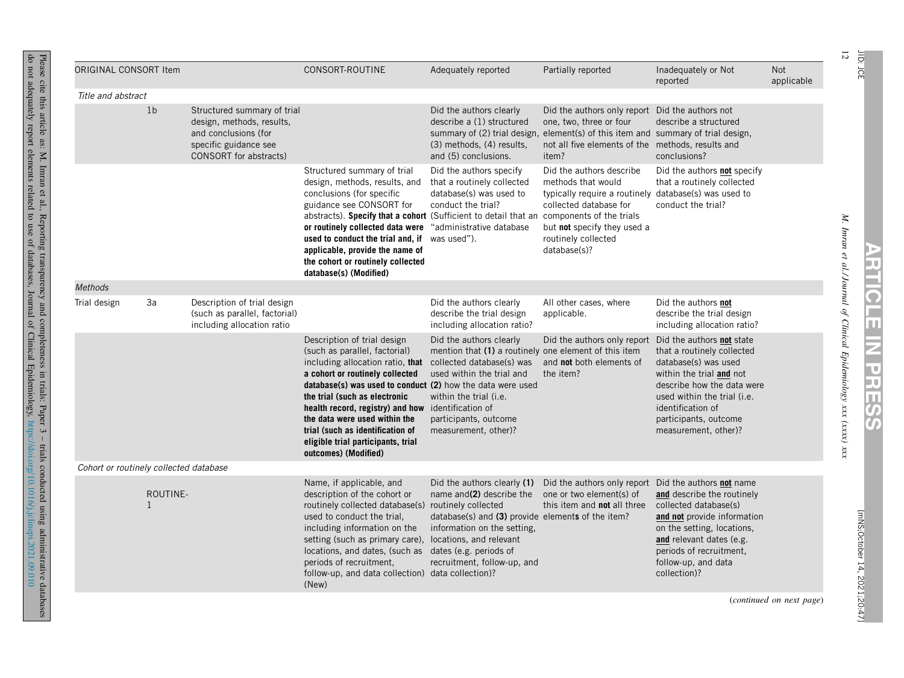| ORIGINAL CONSORT Item                  |                            |                                                                                                                                     | CONSORT-ROUTINE                                                                                                                                                                                                                                                                                                                                                                                                             | Adequately reported                                                                                                                                                                                                   | Partially reported                                                                                                                                                                                                                  | Inadequately or Not<br>reported                                                                                                                                                                                   | Not<br>applicable |
|----------------------------------------|----------------------------|-------------------------------------------------------------------------------------------------------------------------------------|-----------------------------------------------------------------------------------------------------------------------------------------------------------------------------------------------------------------------------------------------------------------------------------------------------------------------------------------------------------------------------------------------------------------------------|-----------------------------------------------------------------------------------------------------------------------------------------------------------------------------------------------------------------------|-------------------------------------------------------------------------------------------------------------------------------------------------------------------------------------------------------------------------------------|-------------------------------------------------------------------------------------------------------------------------------------------------------------------------------------------------------------------|-------------------|
| Title and abstract                     |                            |                                                                                                                                     |                                                                                                                                                                                                                                                                                                                                                                                                                             |                                                                                                                                                                                                                       |                                                                                                                                                                                                                                     |                                                                                                                                                                                                                   |                   |
|                                        | 1 <sub>b</sub>             | Structured summary of trial<br>design, methods, results,<br>and conclusions (for<br>specific guidance see<br>CONSORT for abstracts) |                                                                                                                                                                                                                                                                                                                                                                                                                             | Did the authors clearly<br>describe a (1) structured<br>summary of (2) trial design,<br>(3) methods, (4) results,<br>and (5) conclusions.                                                                             | Did the authors only report Did the authors not<br>one, two, three or four<br>element(s) of this item and summary of trial design,<br>not all five elements of the methods, results and<br>item?                                    | describe a structured<br>conclusions?                                                                                                                                                                             |                   |
|                                        |                            |                                                                                                                                     | Structured summary of trial<br>design, methods, results, and<br>conclusions (for specific<br>guidance see CONSORT for<br>abstracts). Specify that a cohort (Sufficient to detail that an<br>or routinely collected data were<br>used to conduct the trial and, if was used").<br>applicable, provide the name of<br>the cohort or routinely collected<br>database(s) (Modified)                                             | Did the authors specify<br>that a routinely collected<br>database(s) was used to<br>conduct the trial?<br>"administrative database                                                                                    | Did the authors describe<br>methods that would<br>typically require a routinely database(s) was used to<br>collected database for<br>components of the trials<br>but not specify they used a<br>routinely collected<br>database(s)? | Did the authors not specify<br>that a routinely collected<br>conduct the trial?                                                                                                                                   |                   |
| Methods                                |                            |                                                                                                                                     |                                                                                                                                                                                                                                                                                                                                                                                                                             |                                                                                                                                                                                                                       |                                                                                                                                                                                                                                     |                                                                                                                                                                                                                   |                   |
| Trial design                           | 3a                         | Description of trial design<br>(such as parallel, factorial)<br>including allocation ratio                                          |                                                                                                                                                                                                                                                                                                                                                                                                                             | Did the authors clearly<br>describe the trial design<br>including allocation ratio?                                                                                                                                   | All other cases, where<br>applicable.                                                                                                                                                                                               | Did the authors not<br>describe the trial design<br>including allocation ratio?                                                                                                                                   |                   |
|                                        |                            |                                                                                                                                     | Description of trial design<br>(such as parallel, factorial)<br>including allocation ratio, that<br>a cohort or routinely collected<br>database(s) was used to conduct (2) how the data were used<br>the trial (such as electronic<br>health record, registry) and how identification of<br>the data were used within the<br>trial (such as identification of<br>eligible trial participants, trial<br>outcomes) (Modified) | Did the authors clearly<br>mention that (1) a routinely one element of this item<br>collected database(s) was<br>used within the trial and<br>within the trial (i.e.<br>participants, outcome<br>measurement, other)? | Did the authors only report Did the authors not state<br>and <b>not</b> both elements of<br>the item?                                                                                                                               | that a routinely collected<br>database(s) was used<br>within the trial and not<br>describe how the data were<br>used within the trial (i.e.<br>identification of<br>participants, outcome<br>measurement, other)? |                   |
| Cohort or routinely collected database |                            |                                                                                                                                     |                                                                                                                                                                                                                                                                                                                                                                                                                             |                                                                                                                                                                                                                       |                                                                                                                                                                                                                                     |                                                                                                                                                                                                                   |                   |
|                                        | ROUTINE-<br>$\overline{1}$ |                                                                                                                                     | Name, if applicable, and<br>description of the cohort or<br>routinely collected database(s) routinely collected<br>used to conduct the trial,<br>including information on the<br>setting (such as primary care), locations, and relevant<br>locations, and dates, (such as dates (e.g. periods of<br>periods of recruitment,<br>follow-up, and data collection) data collection)?<br>(New)                                  | Did the authors clearly (1)<br>name and(2) describe the<br>database(s) and (3) provide elements of the item?<br>information on the setting.<br>recruitment, follow-up, and                                            | Did the authors only report Did the authors not name<br>one or two element(s) of<br>this item and <b>not</b> all three                                                                                                              | and describe the routinely<br>collected database(s)<br>and not provide information<br>on the setting, locations,<br>and relevant dates (e.g.<br>periods of recruitment,<br>follow-up, and data<br>collection)?    |                   |
|                                        |                            |                                                                                                                                     |                                                                                                                                                                                                                                                                                                                                                                                                                             |                                                                                                                                                                                                                       |                                                                                                                                                                                                                                     |                                                                                                                                                                                                                   |                   |

Please cite this article as: M. Imran et al., Reporting transparency and completeness in trials: Paper 3 – trials conducted using administrative databases do not adequately report elements related  $\overline{c}$ use of databases, Journal of **Clinical** Epidemiology, <https://doi.org/10.1016/j.jclinepi.2021.09.010>

 $12\,$ JID:

**ARTICLE**

**IZ** 

**PRESS**

> [mNS;October [mNS;October 14, 2021;20:47]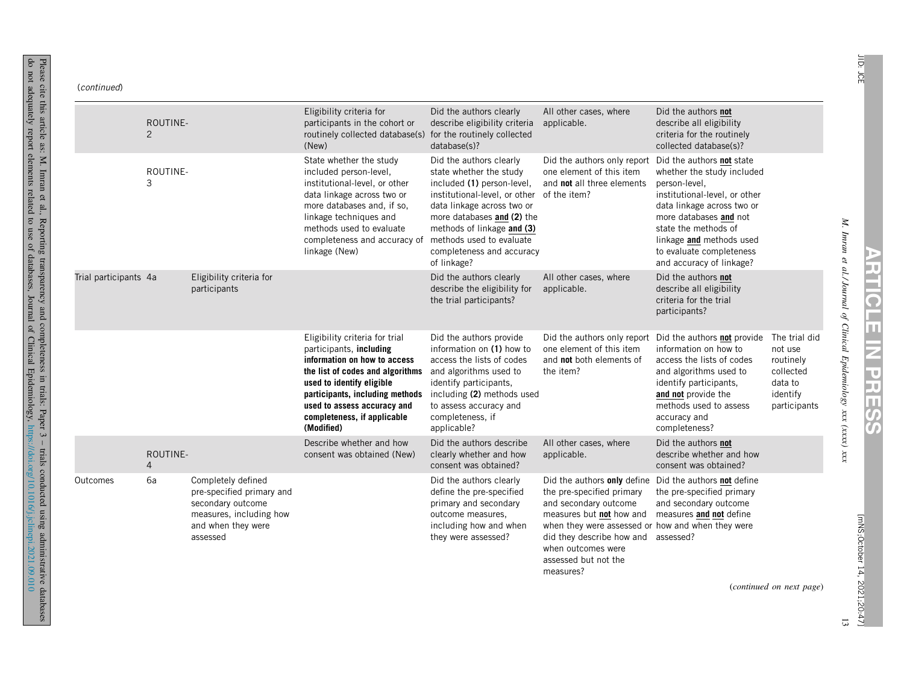do

|                       | ROUTINE-<br>2              |                                                                                                                                   | Eligibility criteria for<br>participants in the cohort or<br>routinely collected database(s)<br>(New)                                                                                                                                                                     | Did the authors clearly<br>describe eligibility criteria<br>for the routinely collected<br>database(s)?                                                                                                                                                                             | All other cases, where<br>applicable.                                                                                                                                                                                                                      | Did the authors not<br>describe all eligibility<br>criteria for the routinely<br>collected database(s)?                                                                                                                                                                       |                                                                                           |
|-----------------------|----------------------------|-----------------------------------------------------------------------------------------------------------------------------------|---------------------------------------------------------------------------------------------------------------------------------------------------------------------------------------------------------------------------------------------------------------------------|-------------------------------------------------------------------------------------------------------------------------------------------------------------------------------------------------------------------------------------------------------------------------------------|------------------------------------------------------------------------------------------------------------------------------------------------------------------------------------------------------------------------------------------------------------|-------------------------------------------------------------------------------------------------------------------------------------------------------------------------------------------------------------------------------------------------------------------------------|-------------------------------------------------------------------------------------------|
|                       | ROUTINE-<br>3              |                                                                                                                                   | State whether the study<br>included person-level,<br>institutional-level, or other<br>data linkage across two or<br>more databases and, if so,<br>linkage techniques and<br>methods used to evaluate<br>completeness and accuracy of<br>linkage (New)                     | Did the authors clearly<br>state whether the study<br>included (1) person-level,<br>institutional-level, or other<br>data linkage across two or<br>more databases and (2) the<br>methods of linkage and (3)<br>methods used to evaluate<br>completeness and accuracy<br>of linkage? | Did the authors only report<br>one element of this item<br>and not all three elements<br>of the item?                                                                                                                                                      | Did the authors not state<br>whether the study included<br>person-level,<br>institutional-level, or other<br>data linkage across two or<br>more databases and not<br>state the methods of<br>linkage and methods used<br>to evaluate completeness<br>and accuracy of linkage? |                                                                                           |
| Trial participants 4a |                            | Eligibility criteria for<br>participants                                                                                          |                                                                                                                                                                                                                                                                           | Did the authors clearly<br>describe the eligibility for<br>the trial participants?                                                                                                                                                                                                  | All other cases, where<br>applicable.                                                                                                                                                                                                                      | Did the authors not<br>describe all eligibility<br>criteria for the trial<br>participants?                                                                                                                                                                                    |                                                                                           |
|                       |                            |                                                                                                                                   | Eligibility criteria for trial<br>participants, including<br>information on how to access<br>the list of codes and algorithms<br>used to identify eligible<br>participants, including methods<br>used to assess accuracy and<br>completeness, if applicable<br>(Modified) | Did the authors provide<br>information on (1) how to<br>access the lists of codes<br>and algorithms used to<br>identify participants,<br>including (2) methods used<br>to assess accuracy and<br>completeness, if<br>applicable?                                                    | Did the authors only report<br>one element of this item<br>and not both elements of<br>the item?                                                                                                                                                           | Did the authors not provide<br>information on how to<br>access the lists of codes<br>and algorithms used to<br>identify participants,<br>and not provide the<br>methods used to assess<br>accuracy and<br>completeness?                                                       | The trial did<br>not use<br>routinely<br>collected<br>data to<br>identify<br>participants |
|                       | ROUTINE-<br>$\overline{4}$ |                                                                                                                                   | Describe whether and how<br>consent was obtained (New)                                                                                                                                                                                                                    | Did the authors describe<br>clearly whether and how<br>consent was obtained?                                                                                                                                                                                                        | All other cases, where<br>applicable.                                                                                                                                                                                                                      | Did the authors not<br>describe whether and how<br>consent was obtained?                                                                                                                                                                                                      |                                                                                           |
| Outcomes              | 6a                         | Completely defined<br>pre-specified primary and<br>secondary outcome<br>measures, including how<br>and when they were<br>assessed |                                                                                                                                                                                                                                                                           | Did the authors clearly<br>define the pre-specified<br>primary and secondary<br>outcome measures.<br>including how and when<br>they were assessed?                                                                                                                                  | Did the authors only define<br>the pre-specified primary<br>and secondary outcome<br>measures but not how and<br>when they were assessed or how and when they were<br>did they describe how and<br>when outcomes were<br>assessed but not the<br>measures? | Did the authors not define<br>the pre-specified primary<br>and secondary outcome<br>measures and not define<br>assessed?                                                                                                                                                      |                                                                                           |

*al./ Journal of Clinical Epidemiology xxx (xxxx)* **ARTICLE IZ PRESS**

*xxx*

*M. Imran et* JID: JCE

(*continued on next page*)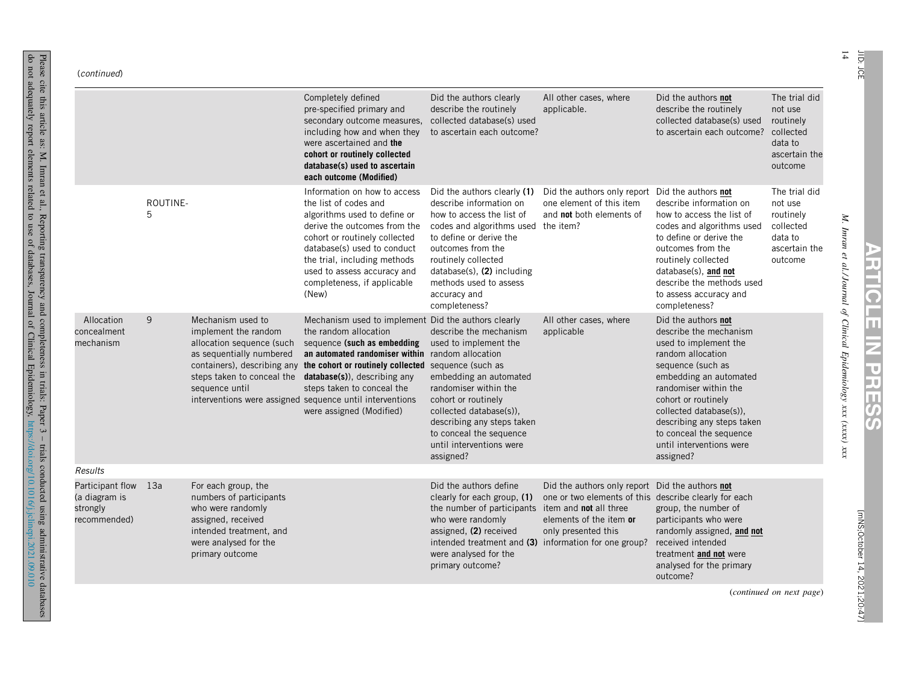#### (continued)

 $\sim$ 

|                                                               |               |                                                                                                                                                                                   | Completely defined<br>pre-specified primary and<br>secondary outcome measures,<br>including how and when they<br>were ascertained and the<br>cohort or routinely collected<br>database(s) used to ascertain<br>each outcome (Modified)                                                                                                                                       | Did the authors clearly<br>describe the routinely<br>collected database(s) used<br>to ascertain each outcome?                                                                                                                                                                                   | All other cases, where<br>applicable.                                                                                                                                                                                     | Did the authors not<br>describe the routinely<br>collected database(s) used<br>to ascertain each outcome?                                                                                                                                                                                                               | The trial did<br>not use<br>routinely<br>collected<br>data to<br>ascertain the<br>outcome |
|---------------------------------------------------------------|---------------|-----------------------------------------------------------------------------------------------------------------------------------------------------------------------------------|------------------------------------------------------------------------------------------------------------------------------------------------------------------------------------------------------------------------------------------------------------------------------------------------------------------------------------------------------------------------------|-------------------------------------------------------------------------------------------------------------------------------------------------------------------------------------------------------------------------------------------------------------------------------------------------|---------------------------------------------------------------------------------------------------------------------------------------------------------------------------------------------------------------------------|-------------------------------------------------------------------------------------------------------------------------------------------------------------------------------------------------------------------------------------------------------------------------------------------------------------------------|-------------------------------------------------------------------------------------------|
|                                                               | ROUTINE-<br>5 |                                                                                                                                                                                   | Information on how to access<br>the list of codes and<br>algorithms used to define or<br>derive the outcomes from the<br>cohort or routinely collected<br>database(s) used to conduct<br>the trial, including methods<br>used to assess accuracy and<br>completeness, if applicable<br>(New)                                                                                 | Did the authors clearly (1)<br>describe information on<br>how to access the list of<br>codes and algorithms used the item?<br>to define or derive the<br>outcomes from the<br>routinely collected<br>$database(s)$ , $(2)$ including<br>methods used to assess<br>accuracy and<br>completeness? | Did the authors only report Did the authors not<br>one element of this item<br>and <b>not</b> both elements of                                                                                                            | describe information on<br>how to access the list of<br>codes and algorithms used<br>to define or derive the<br>outcomes from the<br>routinely collected<br>database(s), and not<br>describe the methods used<br>to assess accuracy and<br>completeness?                                                                | The trial did<br>not use<br>routinely<br>collected<br>data to<br>ascertain the<br>outcome |
| Allocation<br>concealment<br>mechanism                        | 9             | Mechanism used to<br>implement the random<br>allocation sequence (such<br>as sequentially numbered<br>containers), describing any<br>steps taken to conceal the<br>sequence until | Mechanism used to implement Did the authors clearly<br>the random allocation<br>sequence (such as embedding<br>an automated randomiser within random allocation<br>the cohort or routinely collected sequence (such as<br>database(s)), describing any<br>steps taken to conceal the<br>interventions were assigned sequence until interventions<br>were assigned (Modified) | describe the mechanism<br>used to implement the<br>embedding an automated<br>randomiser within the<br>cohort or routinely<br>collected database(s)).<br>describing any steps taken<br>to conceal the sequence<br>until interventions were<br>assigned?                                          | All other cases, where<br>applicable                                                                                                                                                                                      | Did the authors not<br>describe the mechanism<br>used to implement the<br>random allocation<br>sequence (such as<br>embedding an automated<br>randomiser within the<br>cohort or routinely<br>collected database(s)),<br>describing any steps taken<br>to conceal the sequence<br>until interventions were<br>assigned? |                                                                                           |
| Results                                                       |               |                                                                                                                                                                                   |                                                                                                                                                                                                                                                                                                                                                                              |                                                                                                                                                                                                                                                                                                 |                                                                                                                                                                                                                           |                                                                                                                                                                                                                                                                                                                         |                                                                                           |
| Participant flow<br>(a diagram is<br>strongly<br>recommended) | 13a           | For each group, the<br>numbers of participants<br>who were randomly<br>assigned, received<br>intended treatment, and<br>were analysed for the<br>primary outcome                  |                                                                                                                                                                                                                                                                                                                                                                              | Did the authors define<br>clearly for each group, (1)<br>the number of participants<br>who were randomly<br>assigned, (2) received<br>intended treatment and (3)<br>were analysed for the<br>primary outcome?                                                                                   | Did the authors only report Did the authors not<br>one or two elements of this describe clearly for each<br>item and <b>not</b> all three<br>elements of the item or<br>only presented this<br>information for one group? | group, the number of<br>participants who were<br>randomly assigned, and not<br>received intended<br>treatment and not were<br>analysed for the primary<br>outcome?                                                                                                                                                      |                                                                                           |

(*continued on next page*)

*M. Imran et al./ Journal of Clinical Epidemiology xxx* **ARTICLE Iz PRESS**

*(xxxx) xxx*

14

JID: JCE

[mNS;October 14, 2021;20:47] 2021;20:47]

Please cite this article as: M. Imran et al., Reporting transparency and completeness in trials: Paper 3 – trials conducted using administrative not adequately report elements related  $\overline{c}$ use of databases, Journal of **Clinical** Epidemiology, <https://doi.org/10.1016/j.jclinepi.2021.09.010>

do

databases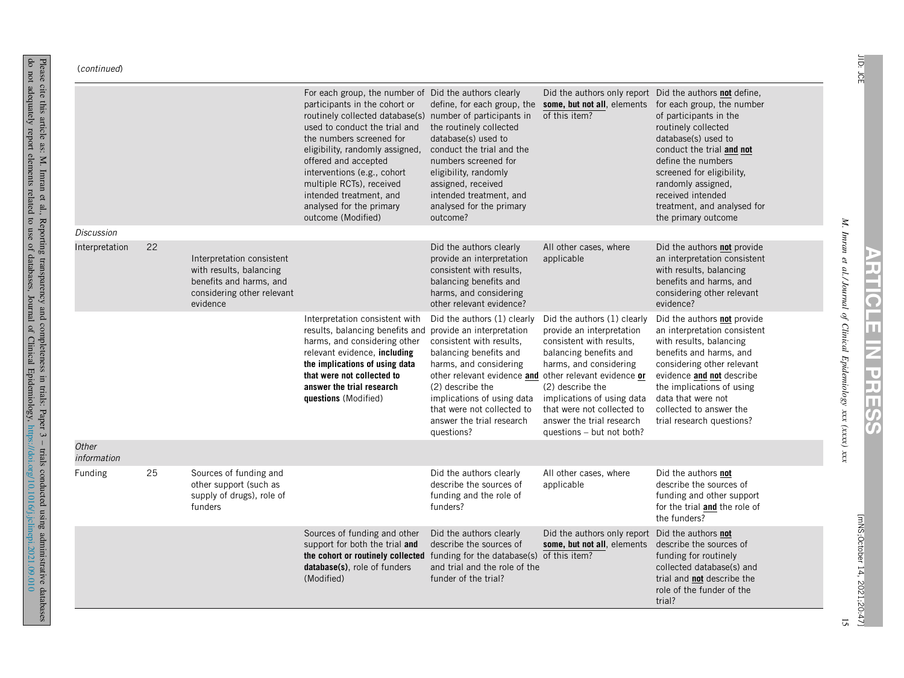#### (continued)

Please cite this article as: M. Imran et al.,

do not

adequately

report

elements

related  $\overline{c}$ use of

Reporting

transparency

databases,

Journal of **Clinical** 

and

completeness

in trials:

Epidemiology,

Paper 3 – trials

conducted

using

<https://doi.org/10.1016/j.jclinepi.2021.09.010>

administrative

databases

|                      |    |                                                                                                                           | For each group, the number of Did the authors clearly<br>participants in the cohort or<br>routinely collected database(s) number of participants in<br>used to conduct the trial and<br>the numbers screened for<br>eligibility, randomly assigned,<br>offered and accepted<br>interventions (e.g., cohort<br>multiple RCTs), received<br>intended treatment, and<br>analysed for the primary<br>outcome (Modified) | define, for each group, the<br>the routinely collected<br>database(s) used to<br>conduct the trial and the<br>numbers screened for<br>eligibility, randomly<br>assigned, received<br>intended treatment, and<br>analysed for the primary<br>outcome?                                             | some, but not all, elements<br>of this item?                                                                                                                                                                                                                                       | Did the authors only report Did the authors <b>not</b> define,<br>for each group, the number<br>of participants in the<br>routinely collected<br>database(s) used to<br>conduct the trial and not<br>define the numbers<br>screened for eligibility,<br>randomly assigned,<br>received intended<br>treatment, and analysed for<br>the primary outcome |
|----------------------|----|---------------------------------------------------------------------------------------------------------------------------|---------------------------------------------------------------------------------------------------------------------------------------------------------------------------------------------------------------------------------------------------------------------------------------------------------------------------------------------------------------------------------------------------------------------|--------------------------------------------------------------------------------------------------------------------------------------------------------------------------------------------------------------------------------------------------------------------------------------------------|------------------------------------------------------------------------------------------------------------------------------------------------------------------------------------------------------------------------------------------------------------------------------------|-------------------------------------------------------------------------------------------------------------------------------------------------------------------------------------------------------------------------------------------------------------------------------------------------------------------------------------------------------|
| <b>Discussion</b>    |    |                                                                                                                           |                                                                                                                                                                                                                                                                                                                                                                                                                     |                                                                                                                                                                                                                                                                                                  |                                                                                                                                                                                                                                                                                    |                                                                                                                                                                                                                                                                                                                                                       |
| Interpretation       | 22 | Interpretation consistent<br>with results, balancing<br>benefits and harms, and<br>considering other relevant<br>evidence |                                                                                                                                                                                                                                                                                                                                                                                                                     | Did the authors clearly<br>provide an interpretation<br>consistent with results,<br>balancing benefits and<br>harms, and considering<br>other relevant evidence?                                                                                                                                 | All other cases, where<br>applicable                                                                                                                                                                                                                                               | Did the authors not provide<br>an interpretation consistent<br>with results, balancing<br>benefits and harms, and<br>considering other relevant<br>evidence?                                                                                                                                                                                          |
|                      |    |                                                                                                                           | Interpretation consistent with<br>results, balancing benefits and provide an interpretation<br>harms, and considering other<br>relevant evidence, including<br>the implications of using data<br>that were not collected to<br>answer the trial research<br>questions (Modified)                                                                                                                                    | Did the authors (1) clearly<br>consistent with results.<br>balancing benefits and<br>harms, and considering<br>other relevant evidence and other relevant evidence or<br>(2) describe the<br>implications of using data<br>that were not collected to<br>answer the trial research<br>questions? | Did the authors (1) clearly<br>provide an interpretation<br>consistent with results,<br>balancing benefits and<br>harms, and considering<br>(2) describe the<br>implications of using data<br>that were not collected to<br>answer the trial research<br>questions - but not both? | Did the authors not provide<br>an interpretation consistent<br>with results, balancing<br>benefits and harms, and<br>considering other relevant<br>evidence and not describe<br>the implications of using<br>data that were not<br>collected to answer the<br>trial research questions?                                                               |
| Other<br>information |    |                                                                                                                           |                                                                                                                                                                                                                                                                                                                                                                                                                     |                                                                                                                                                                                                                                                                                                  |                                                                                                                                                                                                                                                                                    |                                                                                                                                                                                                                                                                                                                                                       |
| Funding              | 25 | Sources of funding and<br>other support (such as<br>supply of drugs), role of<br>funders                                  |                                                                                                                                                                                                                                                                                                                                                                                                                     | Did the authors clearly<br>describe the sources of<br>funding and the role of<br>funders?                                                                                                                                                                                                        | All other cases, where<br>applicable                                                                                                                                                                                                                                               | Did the authors not<br>describe the sources of<br>funding and other support<br>for the trial <b>and</b> the role of<br>the funders?                                                                                                                                                                                                                   |
|                      |    |                                                                                                                           | Sources of funding and other<br>support for both the trial and<br>the cohort or routinely collected funding for the database(s) of this item?<br>database(s), role of funders<br>(Modified)                                                                                                                                                                                                                         | Did the authors clearly<br>describe the sources of<br>and trial and the role of the<br>funder of the trial?                                                                                                                                                                                      | Did the authors only report<br>some, but not all, elements                                                                                                                                                                                                                         | Did the authors not<br>describe the sources of<br>funding for routinely<br>collected database(s) and<br>trial and <b>not</b> describe the<br>role of the funder of the<br>trial?                                                                                                                                                                      |

*M. Imran et al./ Journal of Clinical Epidemiology xxx (xxxx) xxx*

**ARTICLE**

**Iz** 

**PRESS**

2021;20:47]

15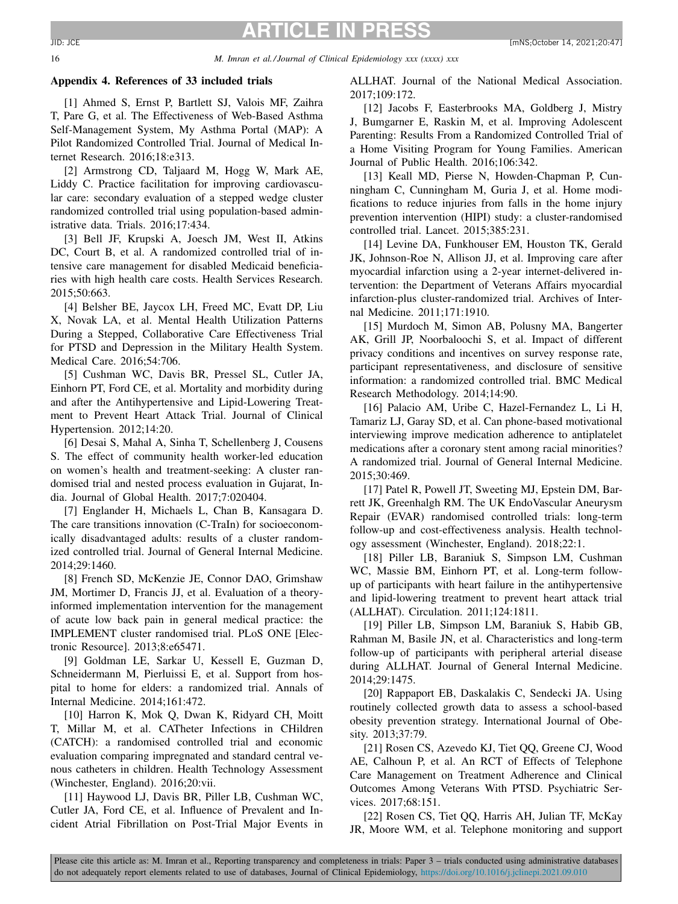#### <span id="page-15-0"></span>16 *M. Imran et al./ Journal of Clinical Epidemiology xxx (xxxx) xxx*

#### **Appendix 4. References of 33 included trials**

[1] Ahmed S, Ernst P, Bartlett SJ, Valois MF, Zaihra T, Pare G, et al. The Effectiveness of Web-Based Asthma Self-Management System, My Asthma Portal (MAP): A Pilot Randomized Controlled Trial. Journal of Medical Internet Research. 2016;18:e313.

[2] Armstrong CD, Taljaard M, Hogg W, Mark AE, Liddy C. Practice facilitation for improving cardiovascular care: secondary evaluation of a stepped wedge cluster randomized controlled trial using population-based administrative data. Trials. 2016;17:434.

[3] Bell JF, Krupski A, Joesch JM, West II, Atkins DC, Court B, et al. A randomized controlled trial of intensive care management for disabled Medicaid beneficiaries with high health care costs. Health Services Research. 2015;50:663.

[4] Belsher BE, Jaycox LH, Freed MC, Evatt DP, Liu X, Novak LA, et al. Mental Health Utilization Patterns During a Stepped, Collaborative Care Effectiveness Trial for PTSD and Depression in the Military Health System. Medical Care. 2016;54:706.

[5] Cushman WC, Davis BR, Pressel SL, Cutler JA, Einhorn PT, Ford CE, et al. Mortality and morbidity during and after the Antihypertensive and Lipid-Lowering Treatment to Prevent Heart Attack Trial. Journal of Clinical Hypertension. 2012;14:20.

[6] Desai S, Mahal A, Sinha T, Schellenberg J, Cousens S. The effect of community health worker-led education on women's health and treatment-seeking: A cluster randomised trial and nested process evaluation in Gujarat, India. Journal of Global Health. 2017;7:020404.

[7] Englander H, Michaels L, Chan B, Kansagara D. The care transitions innovation (C-TraIn) for socioeconomically disadvantaged adults: results of a cluster randomized controlled trial. Journal of General Internal Medicine. 2014;29:1460.

[8] French SD, McKenzie JE, Connor DAO, Grimshaw JM, Mortimer D, Francis JJ, et al. Evaluation of a theoryinformed implementation intervention for the management of acute low back pain in general medical practice: the IMPLEMENT cluster randomised trial. PLoS ONE [Electronic Resource]. 2013;8:e65471.

[9] Goldman LE, Sarkar U, Kessell E, Guzman D, Schneidermann M, Pierluissi E, et al. Support from hospital to home for elders: a randomized trial. Annals of Internal Medicine. 2014;161:472.

[10] Harron K, Mok Q, Dwan K, Ridyard CH, Moitt T, Millar M, et al. CATheter Infections in CHildren (CATCH): a randomised controlled trial and economic evaluation comparing impregnated and standard central venous catheters in children. Health Technology Assessment (Winchester, England). 2016;20:vii.

[11] Haywood LJ, Davis BR, Piller LB, Cushman WC, Cutler JA, Ford CE, et al. Influence of Prevalent and Incident Atrial Fibrillation on Post-Trial Major Events in

ALLHAT. Journal of the National Medical Association. 2017;109:172.

[12] Jacobs F, Easterbrooks MA, Goldberg J, Mistry J, Bumgarner E, Raskin M, et al. Improving Adolescent Parenting: Results From a Randomized Controlled Trial of a Home Visiting Program for Young Families. American Journal of Public Health. 2016;106:342.

[13] Keall MD, Pierse N, Howden-Chapman P, Cunningham C, Cunningham M, Guria J, et al. Home modifications to reduce injuries from falls in the home injury prevention intervention (HIPI) study: a cluster-randomised controlled trial. Lancet. 2015;385:231.

[14] Levine DA, Funkhouser EM, Houston TK, Gerald JK, Johnson-Roe N, Allison JJ, et al. Improving care after myocardial infarction using a 2-year internet-delivered intervention: the Department of Veterans Affairs myocardial infarction-plus cluster-randomized trial. Archives of Internal Medicine. 2011;171:1910.

[15] Murdoch M, Simon AB, Polusny MA, Bangerter AK, Grill JP, Noorbaloochi S, et al. Impact of different privacy conditions and incentives on survey response rate, participant representativeness, and disclosure of sensitive information: a randomized controlled trial. BMC Medical Research Methodology. 2014;14:90.

[16] Palacio AM, Uribe C, Hazel-Fernandez L, Li H, Tamariz LJ, Garay SD, et al. Can phone-based motivational interviewing improve medication adherence to antiplatelet medications after a coronary stent among racial minorities? A randomized trial. Journal of General Internal Medicine. 2015;30:469.

[17] Patel R, Powell JT, Sweeting MJ, Epstein DM, Barrett JK, Greenhalgh RM. The UK EndoVascular Aneurysm Repair (EVAR) randomised controlled trials: long-term follow-up and cost-effectiveness analysis. Health technology assessment (Winchester, England). 2018;22:1.

[18] Piller LB, Baraniuk S, Simpson LM, Cushman WC, Massie BM, Einhorn PT, et al. Long-term followup of participants with heart failure in the antihypertensive and lipid-lowering treatment to prevent heart attack trial (ALLHAT). Circulation. 2011;124:1811.

[19] Piller LB, Simpson LM, Baraniuk S, Habib GB, Rahman M, Basile JN, et al. Characteristics and long-term follow-up of participants with peripheral arterial disease during ALLHAT. Journal of General Internal Medicine. 2014;29:1475.

[20] Rappaport EB, Daskalakis C, Sendecki JA. Using routinely collected growth data to assess a school-based obesity prevention strategy. International Journal of Obesity. 2013;37:79.

[21] Rosen CS, Azevedo KJ, Tiet QQ, Greene CJ, Wood AE, Calhoun P, et al. An RCT of Effects of Telephone Care Management on Treatment Adherence and Clinical Outcomes Among Veterans With PTSD. Psychiatric Services. 2017;68:151.

[22] Rosen CS, Tiet OO, Harris AH, Julian TF, McKay JR, Moore WM, et al. Telephone monitoring and support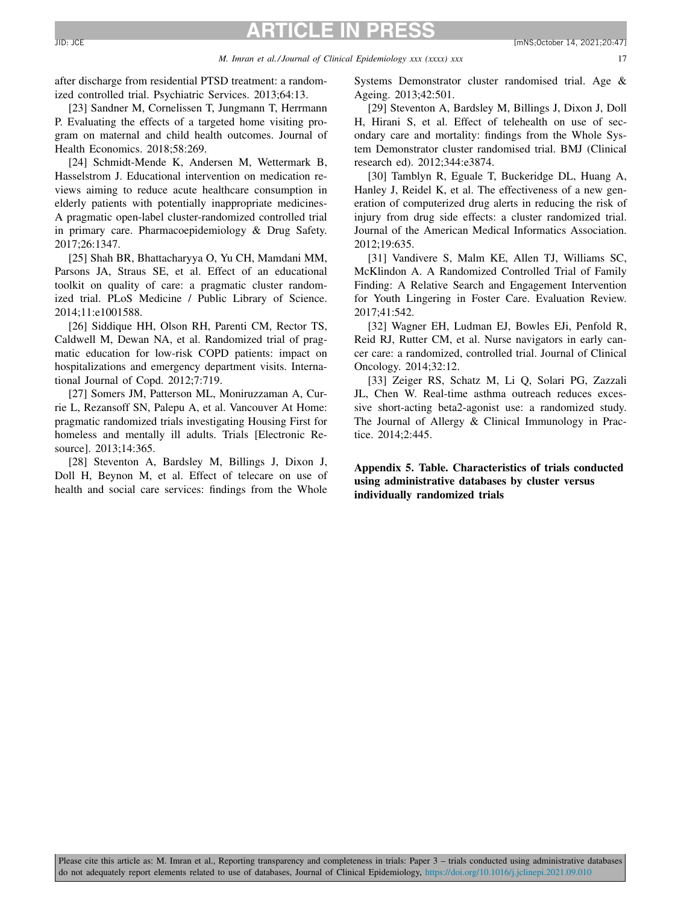<span id="page-16-0"></span>after discharge from residential PTSD treatment: a randomized controlled trial. Psychiatric Services. 2013;64:13.

[23] Sandner M, Cornelissen T, Jungmann T, Herrmann P. Evaluating the effects of a targeted home visiting program on maternal and child health outcomes. Journal of Health Economics. 2018;58:269.

[24] Schmidt-Mende K, Andersen M, Wettermark B, Hasselstrom J. Educational intervention on medication reviews aiming to reduce acute healthcare consumption in elderly patients with potentially inappropriate medicines-A pragmatic open-label cluster-randomized controlled trial in primary care. Pharmacoepidemiology & Drug Safety. 2017;26:1347.

[25] Shah BR, Bhattacharyya O, Yu CH, Mamdani MM, Parsons JA, Straus SE, et al. Effect of an educational toolkit on quality of care: a pragmatic cluster randomized trial. PLoS Medicine / Public Library of Science. 2014;11:e1001588.

[26] Siddique HH, Olson RH, Parenti CM, Rector TS, Caldwell M, Dewan NA, et al. Randomized trial of pragmatic education for low-risk COPD patients: impact on hospitalizations and emergency department visits. International Journal of Copd. 2012;7:719.

[27] Somers JM, Patterson ML, Moniruzzaman A, Currie L, Rezansoff SN, Palepu A, et al. Vancouver At Home: pragmatic randomized trials investigating Housing First for homeless and mentally ill adults. Trials [Electronic Resource]. 2013;14:365.

[28] Steventon A, Bardsley M, Billings J, Dixon J, Doll H, Beynon M, et al. Effect of telecare on use of health and social care services: findings from the Whole Systems Demonstrator cluster randomised trial. Age & Ageing. 2013;42:501.

[29] Steventon A, Bardsley M, Billings J, Dixon J, Doll H, Hirani S, et al. Effect of telehealth on use of secondary care and mortality: findings from the Whole System Demonstrator cluster randomised trial. BMJ (Clinical research ed). 2012;344:e3874.

[30] Tamblyn R, Eguale T, Buckeridge DL, Huang A, Hanley J, Reidel K, et al. The effectiveness of a new generation of computerized drug alerts in reducing the risk of injury from drug side effects: a cluster randomized trial. Journal of the American Medical Informatics Association. 2012;19:635.

[31] Vandivere S, Malm KE, Allen TJ, Williams SC, McKlindon A. A Randomized Controlled Trial of Family Finding: A Relative Search and Engagement Intervention for Youth Lingering in Foster Care. Evaluation Review. 2017;41:542.

[32] Wagner EH, Ludman EJ, Bowles EJi, Penfold R, Reid RJ, Rutter CM, et al. Nurse navigators in early cancer care: a randomized, controlled trial. Journal of Clinical Oncology. 2014;32:12.

[33] Zeiger RS, Schatz M, Li Q, Solari PG, Zazzali JL, Chen W. Real-time asthma outreach reduces excessive short-acting beta2-agonist use: a randomized study. The Journal of Allergy & Clinical Immunology in Practice. 2014;2:445.

**Appendix 5. Table. Characteristics of trials conducted using administrative databases by cluster versus individually randomized trials**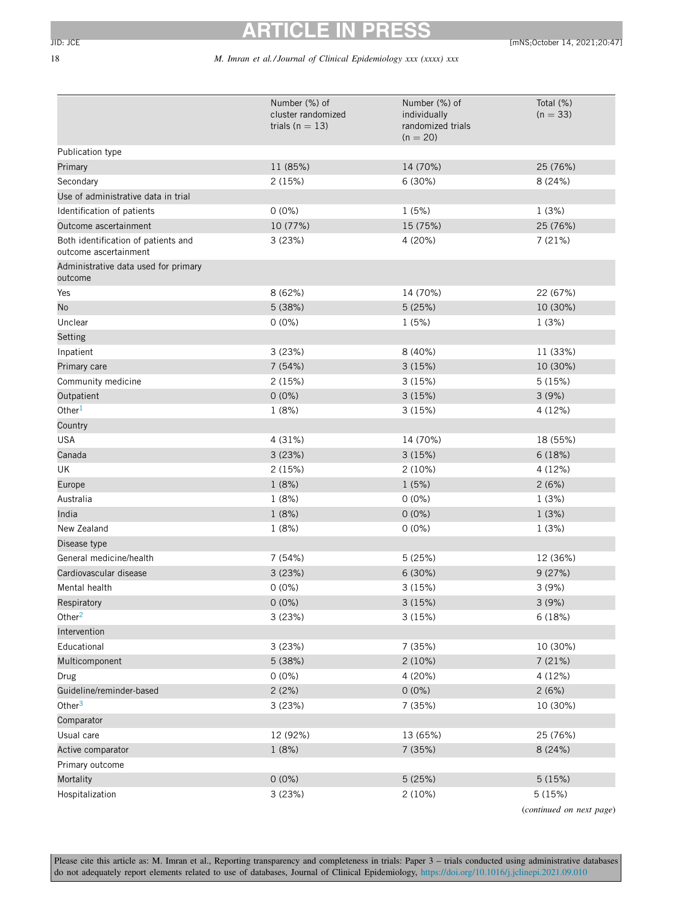# 18 *M. Imran et al./ Journal of Clinical Epidemiology xxx (xxxx) xxx*

|                                                              | Number (%) of                             | Number (%) of                                   | Total (%)                |
|--------------------------------------------------------------|-------------------------------------------|-------------------------------------------------|--------------------------|
|                                                              | cluster randomized<br>trials ( $n = 13$ ) | individually<br>randomized trials<br>$(n = 20)$ | $(n = 33)$               |
| Publication type                                             |                                           |                                                 |                          |
| Primary                                                      | 11 (85%)                                  | 14 (70%)                                        | 25 (76%)                 |
| Secondary                                                    | 2 (15%)                                   | 6 (30%)                                         | 8 (24%)                  |
| Use of administrative data in trial                          |                                           |                                                 |                          |
| Identification of patients                                   | $0(0\%)$                                  | 1(5%)                                           | 1(3%)                    |
| Outcome ascertainment                                        | 10 (77%)                                  | 15 (75%)                                        | 25 (76%)                 |
| Both identification of patients and<br>outcome ascertainment | 3(23%)                                    | 4 (20%)                                         | 7(21%)                   |
| Administrative data used for primary<br>outcome              |                                           |                                                 |                          |
| Yes                                                          | 8 (62%)                                   | 14 (70%)                                        | 22 (67%)                 |
| No                                                           | 5 (38%)                                   | 5(25%)                                          | 10 (30%)                 |
| Unclear                                                      | $0(0\%)$                                  | 1(5%)                                           | 1(3%)                    |
| <b>Setting</b>                                               |                                           |                                                 |                          |
| Inpatient                                                    | 3(23%)                                    | 8 (40%)                                         | 11 (33%)                 |
| Primary care                                                 | 7 (54%)                                   | 3(15%)                                          | 10 (30%)                 |
| Community medicine                                           | 2 (15%)                                   | 3(15%)                                          | 5(15%)                   |
| Outpatient                                                   | $0(0\%)$                                  | 3(15%)                                          | 3(9%)                    |
| Other $1$                                                    | 1(8%)                                     | 3(15%)                                          | 4 (12%)                  |
| Country                                                      |                                           |                                                 |                          |
| <b>USA</b>                                                   | 4 (31%)                                   | 14 (70%)                                        | 18 (55%)                 |
| Canada                                                       | 3(23%)                                    | 3(15%)                                          | 6(18%)                   |
| UK                                                           | 2 (15%)                                   | 2(10%)                                          | 4 (12%)                  |
| Europe                                                       | 1(8%)                                     | 1(5%)                                           | 2(6%)                    |
| Australia                                                    | 1(8%)                                     | $0(0\%)$                                        | 1(3%)                    |
| India                                                        | 1 (8%)                                    | $0(0\%)$                                        | 1(3%)                    |
| New Zealand                                                  | 1(8%)                                     | $0(0\%)$                                        | 1(3%)                    |
| Disease type                                                 |                                           |                                                 |                          |
| General medicine/health                                      | 7 (54%)                                   | 5(25%)                                          | 12 (36%)                 |
| Cardiovascular disease                                       | 3(23%)                                    | 6 (30%)                                         | 9(27%)                   |
| Mental health                                                | $0(0\%)$                                  | 3 (15%)                                         | 3(9%)                    |
| Respiratory                                                  | $0(0\%)$                                  | 3(15%)                                          | 3(9%)                    |
| Other $2$                                                    | 3 (23%)                                   | 3(15%)                                          | 6 (18%)                  |
| Intervention                                                 |                                           |                                                 |                          |
| Educational                                                  | 3 (23%)                                   | 7 (35%)                                         | 10 (30%)                 |
| Multicomponent                                               | 5 (38%)                                   | 2(10%)                                          | 7(21%)                   |
| Drug                                                         | $0(0\%)$                                  | 4 (20%)                                         | 4 (12%)                  |
| Guideline/reminder-based                                     | 2(2%)                                     | $0(0\%)$                                        | 2(6%)                    |
| Other $3$                                                    | 3 (23%)                                   | 7 (35%)                                         | 10 (30%)                 |
| Comparator                                                   |                                           |                                                 |                          |
| Usual care                                                   | 12 (92%)                                  | 13 (65%)                                        | 25 (76%)                 |
| Active comparator                                            | 1 (8%)                                    | 7 (35%)                                         | 8 (24%)                  |
| Primary outcome                                              |                                           |                                                 |                          |
| Mortality                                                    | $0(0\%)$                                  | 5 (25%)                                         | 5(15%)                   |
| Hospitalization                                              | 3 (23%)                                   | 2(10%)                                          | 5(15%)                   |
|                                                              |                                           |                                                 | (continued on next page) |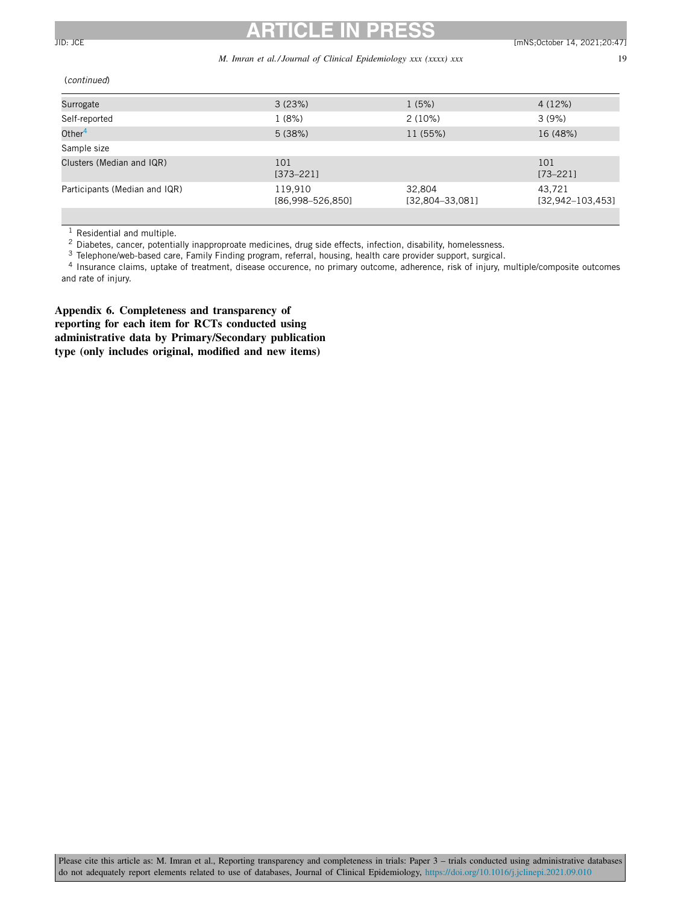# <span id="page-18-0"></span>**ARTICLE IN PRESS** JID: JCE [mNS;October 14, 2021;20:47] [mNS;October 14, 2021;20:47]

### *M. Imran et al./ Journal of Clinical Epidemiology xxx (xxxx) xxx* 19

(continued)

| Surrogate                     | 3(23%)                      | 1(5%)                       | 4(12%)                           |
|-------------------------------|-----------------------------|-----------------------------|----------------------------------|
| Self-reported                 | 1(8%)                       | $2(10\%)$                   | 3(9%)                            |
| Other $4$                     | 5(38%)                      | 11 (55%)                    | 16 (48%)                         |
| Sample size                   |                             |                             |                                  |
| Clusters (Median and IQR)     | 101<br>$[373 - 221]$        |                             | 101<br>$[73 - 221]$              |
| Participants (Median and IQR) | 119,910<br>[86,998-526,850] | 32,804<br>$[32,804-33,081]$ | 43.721<br>$[32, 942 - 103, 453]$ |
|                               |                             |                             |                                  |

 $1$  Residential and multiple.

2 Diabetes, cancer, potentially inapproproate medicines, drug side effects, infection, disability, homelessness.

<sup>3</sup> Telephone/web-based care, Family Finding program, referral, housing, health care provider support, surgical.

<sup>4</sup> Insurance claims, uptake of treatment, disease occurence, no primary outcome, adherence, risk of injury, multiple/composite outcomes and rate of injury.

**Appendix 6. Completeness and transparency of reporting for each item for RCTs conducted using administrative data by Primary/Secondary publication type (only includes original, modified and new items)**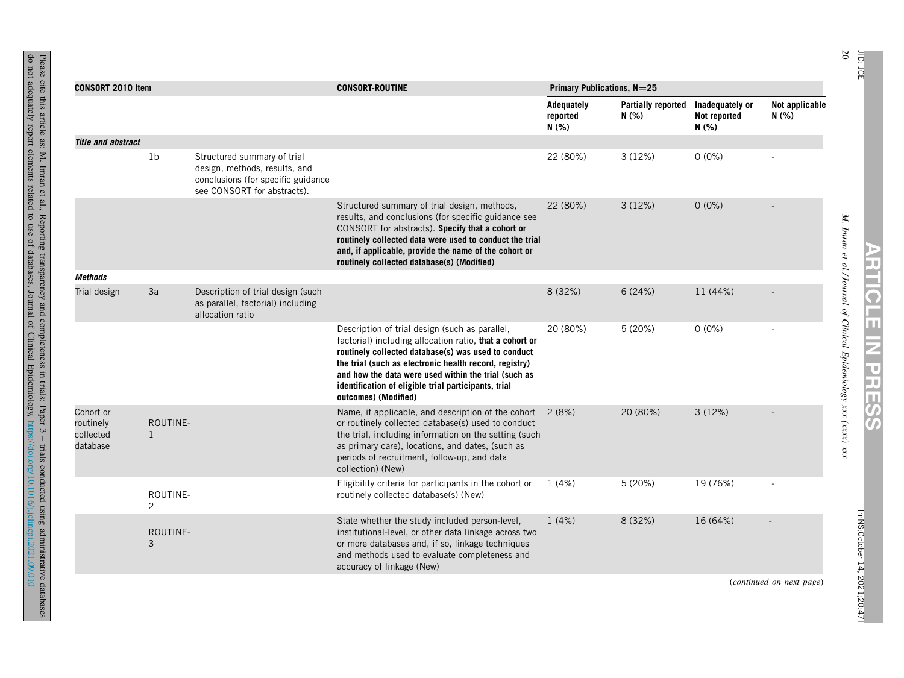|                                                 |                          |                                                                                                                                   |                                                                                                                                                                                                                                                                                                                                                                    | Primary Publications, N=25      |                                    |                                          |                          |  |
|-------------------------------------------------|--------------------------|-----------------------------------------------------------------------------------------------------------------------------------|--------------------------------------------------------------------------------------------------------------------------------------------------------------------------------------------------------------------------------------------------------------------------------------------------------------------------------------------------------------------|---------------------------------|------------------------------------|------------------------------------------|--------------------------|--|
| <b>CONSORT 2010 Item</b>                        |                          |                                                                                                                                   | <b>CONSORT-ROUTINE</b>                                                                                                                                                                                                                                                                                                                                             | Adequately<br>reported<br>N(% ) | <b>Partially reported</b><br>N(% ) | Inadequately or<br>Not reported<br>N(% ) | Not applicable<br>N(% )  |  |
| <b>Title and abstract</b>                       |                          |                                                                                                                                   |                                                                                                                                                                                                                                                                                                                                                                    |                                 |                                    |                                          |                          |  |
|                                                 | 1 <sub>b</sub>           | Structured summary of trial<br>design, methods, results, and<br>conclusions (for specific guidance<br>see CONSORT for abstracts). |                                                                                                                                                                                                                                                                                                                                                                    | 22 (80%)                        | 3(12%)                             | $0(0\%)$                                 |                          |  |
|                                                 |                          |                                                                                                                                   | Structured summary of trial design, methods,<br>results, and conclusions (for specific guidance see<br>CONSORT for abstracts). Specify that a cohort or<br>routinely collected data were used to conduct the trial<br>and, if applicable, provide the name of the cohort or<br>routinely collected database(s) (Modified)                                          | 22 (80%)                        | 3(12%)                             | $0(0\%)$                                 |                          |  |
| <b>Methods</b>                                  |                          |                                                                                                                                   |                                                                                                                                                                                                                                                                                                                                                                    |                                 |                                    |                                          |                          |  |
| Trial design                                    | 3a                       | Description of trial design (such<br>as parallel, factorial) including<br>allocation ratio                                        |                                                                                                                                                                                                                                                                                                                                                                    | 8 (32%)                         | 6(24%)                             | 11 (44%)                                 |                          |  |
|                                                 |                          |                                                                                                                                   | Description of trial design (such as parallel,<br>factorial) including allocation ratio, that a cohort or<br>routinely collected database(s) was used to conduct<br>the trial (such as electronic health record, registry)<br>and how the data were used within the trial (such as<br>identification of eligible trial participants, trial<br>outcomes) (Modified) | 20 (80%)                        | 5(20%)                             | $0(0\%)$                                 |                          |  |
| Cohort or<br>routinely<br>collected<br>database | ROUTINE-<br>$\mathbf{1}$ |                                                                                                                                   | Name, if applicable, and description of the cohort $2(8%)$<br>or routinely collected database(s) used to conduct<br>the trial, including information on the setting (such<br>as primary care), locations, and dates, (such as<br>periods of recruitment, follow-up, and data<br>collection) (New)                                                                  |                                 | 20 (80%)                           | 3(12%)                                   |                          |  |
|                                                 | ROUTINE-<br>2            |                                                                                                                                   | Eligibility criteria for participants in the cohort or<br>routinely collected database(s) (New)                                                                                                                                                                                                                                                                    | 1(4%)                           | 5(20%)                             | 19 (76%)                                 |                          |  |
|                                                 | ROUTINE-<br>3            |                                                                                                                                   | State whether the study included person-level,<br>institutional-level, or other data linkage across two<br>or more databases and, if so, linkage techniques<br>and methods used to evaluate completeness and<br>accuracy of linkage (New)                                                                                                                          | 1(4%)                           | 8 (32%)                            | 16 (64%)                                 |                          |  |
|                                                 |                          |                                                                                                                                   |                                                                                                                                                                                                                                                                                                                                                                    |                                 |                                    |                                          | (continued on next page) |  |

**ARTICLE**

**Iz** 

**PRESS**

JID: JCE

Please cite this article as: M. Imran et al., Reporting transparency and completeness in trials: Paper 3 – trials conducted using administrative databases not adequately report elements related  $\overline{c}$ use of databases, Journal of **Clinical** Epidemiology, <https://doi.org/10.1016/j.jclinepi.2021.09.010>

do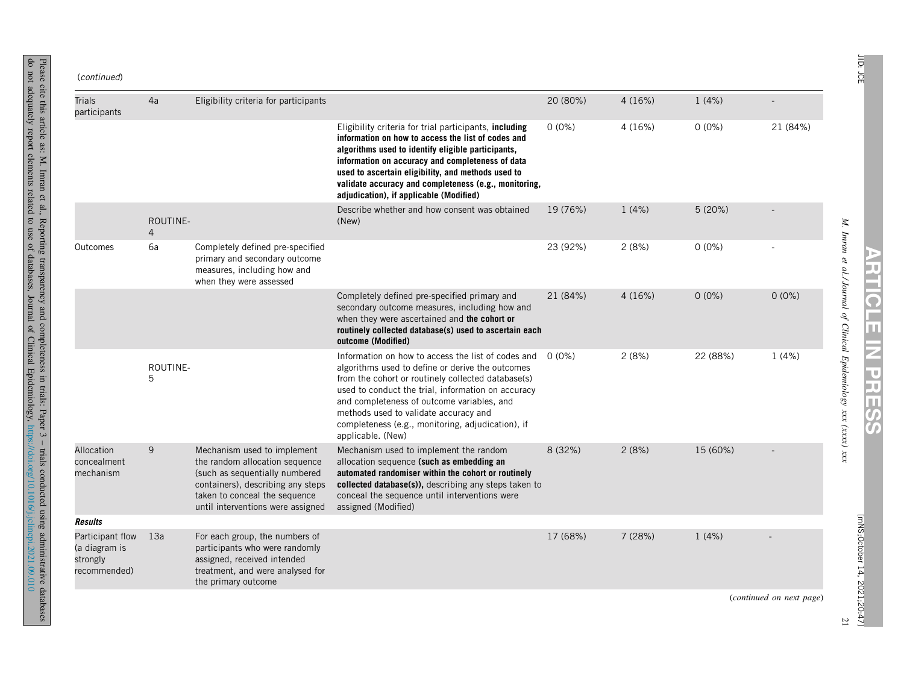| (continued) |
|-------------|
|-------------|

do not

adequately

report

elements

related  $\overline{c}$ use of

Reporting

transparency

databases,

Journal of **Clinical** 

and

completeness

in trials:

Epidemiology,

Paper 3 – trials

conducted

using

<https://doi.org/10.1016/j.jclinepi.2021.09.010>

administrative

databases

| <b>Trials</b><br>participants                                 | 4a                         | Eligibility criteria for participants                                                                                                                                                                      |                                                                                                                                                                                                                                                                                                                                                                                     | 20 (80%) | 4(16%)  | 1(4%)    |                          |
|---------------------------------------------------------------|----------------------------|------------------------------------------------------------------------------------------------------------------------------------------------------------------------------------------------------------|-------------------------------------------------------------------------------------------------------------------------------------------------------------------------------------------------------------------------------------------------------------------------------------------------------------------------------------------------------------------------------------|----------|---------|----------|--------------------------|
|                                                               |                            |                                                                                                                                                                                                            | Eligibility criteria for trial participants, including<br>information on how to access the list of codes and<br>algorithms used to identify eligible participants,<br>information on accuracy and completeness of data<br>used to ascertain eligibility, and methods used to<br>validate accuracy and completeness (e.g., monitoring,<br>adjudication), if applicable (Modified)    | $0(0\%)$ | 4 (16%) | $0(0\%)$ | 21 (84%)                 |
|                                                               | ROUTINE-<br>$\overline{4}$ |                                                                                                                                                                                                            | Describe whether and how consent was obtained<br>(New)                                                                                                                                                                                                                                                                                                                              | 19 (76%) | 1(4%)   | 5(20%)   |                          |
| Outcomes                                                      | 6a                         | Completely defined pre-specified<br>primary and secondary outcome<br>measures, including how and<br>when they were assessed                                                                                |                                                                                                                                                                                                                                                                                                                                                                                     | 23 (92%) | 2(8%)   | $0(0\%)$ |                          |
|                                                               |                            |                                                                                                                                                                                                            | Completely defined pre-specified primary and<br>secondary outcome measures, including how and<br>when they were ascertained and the cohort or<br>routinely collected database(s) used to ascertain each<br>outcome (Modified)                                                                                                                                                       | 21 (84%) | 4(16%)  | $0(0\%)$ | $0(0\%)$                 |
|                                                               | ROUTINE-<br>5              |                                                                                                                                                                                                            | Information on how to access the list of codes and<br>algorithms used to define or derive the outcomes<br>from the cohort or routinely collected database(s)<br>used to conduct the trial, information on accuracy<br>and completeness of outcome variables, and<br>methods used to validate accuracy and<br>completeness (e.g., monitoring, adjudication), if<br>applicable. (New) | 0 (0%)   | 2(8%)   | 22 (88%) | 1(4%)                    |
| Allocation<br>concealment<br>mechanism                        | 9                          | Mechanism used to implement<br>the random allocation sequence<br>(such as sequentially numbered<br>containers), describing any steps<br>taken to conceal the sequence<br>until interventions were assigned | Mechanism used to implement the random<br>allocation sequence (such as embedding an<br>automated randomiser within the cohort or routinely<br>collected database(s)), describing any steps taken to<br>conceal the sequence until interventions were<br>assigned (Modified)                                                                                                         | 8 (32%)  | 2(8%)   | 15 (60%) |                          |
| <b>Results</b>                                                |                            |                                                                                                                                                                                                            |                                                                                                                                                                                                                                                                                                                                                                                     |          |         |          |                          |
| Participant flow<br>(a diagram is<br>strongly<br>recommended) | 13a                        | For each group, the numbers of<br>participants who were randomly<br>assigned, received intended<br>treatment, and were analysed for<br>the primary outcome                                                 |                                                                                                                                                                                                                                                                                                                                                                                     | 17 (68%) | 7 (28%) | 1(4%)    |                          |
|                                                               |                            |                                                                                                                                                                                                            |                                                                                                                                                                                                                                                                                                                                                                                     |          |         |          | (continued on next page) |

*M. Imran et al./ Journal of Clinical Epidemiology xxx (xxxx) xxx*

**ARTICLE**

**Iz** 

**PRESS**

21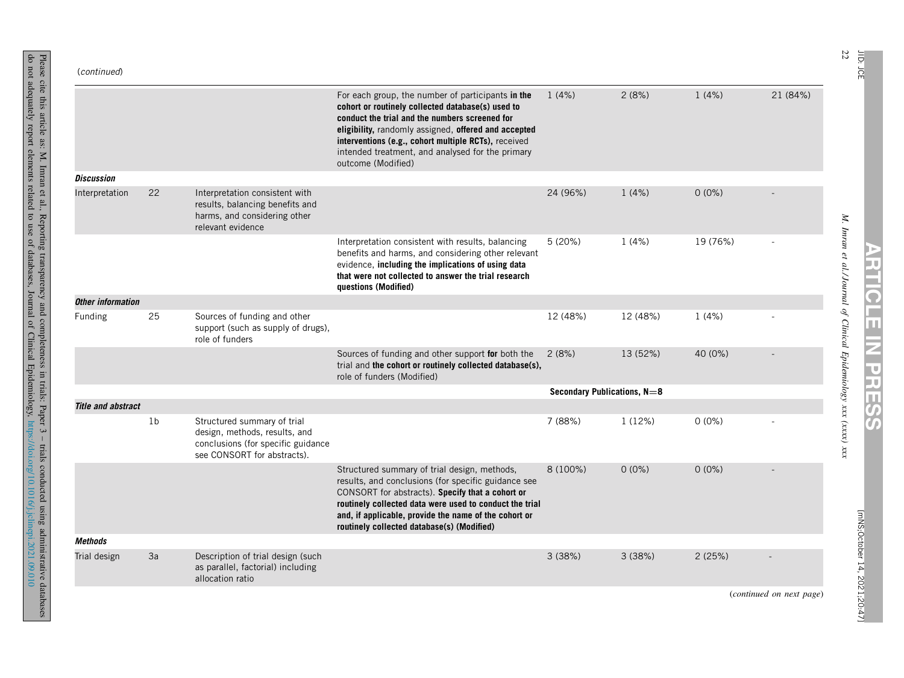| (continued)               |                |                                                                                                                                   |                                                                                                                                                                                                                                                                                                                                                    |                             |          |          |                          |
|---------------------------|----------------|-----------------------------------------------------------------------------------------------------------------------------------|----------------------------------------------------------------------------------------------------------------------------------------------------------------------------------------------------------------------------------------------------------------------------------------------------------------------------------------------------|-----------------------------|----------|----------|--------------------------|
|                           |                |                                                                                                                                   | For each group, the number of participants in the<br>cohort or routinely collected database(s) used to<br>conduct the trial and the numbers screened for<br>eligibility, randomly assigned, offered and accepted<br>interventions (e.g., cohort multiple RCTs), received<br>intended treatment, and analysed for the primary<br>outcome (Modified) | 1(4%)                       | 2(8%)    | 1(4%)    | 21 (84%)                 |
| <b>Discussion</b>         |                |                                                                                                                                   |                                                                                                                                                                                                                                                                                                                                                    |                             |          |          |                          |
| Interpretation            | 22             | Interpretation consistent with<br>results, balancing benefits and<br>harms, and considering other<br>relevant evidence            |                                                                                                                                                                                                                                                                                                                                                    | 24 (96%)                    | 1(4%)    | $0(0\%)$ |                          |
|                           |                |                                                                                                                                   | Interpretation consistent with results, balancing<br>benefits and harms, and considering other relevant<br>evidence, including the implications of using data<br>that were not collected to answer the trial research<br>questions (Modified)                                                                                                      | 5(20%)                      | 1(4%)    | 19 (76%) |                          |
| <b>Other information</b>  |                |                                                                                                                                   |                                                                                                                                                                                                                                                                                                                                                    |                             |          |          |                          |
| Funding                   | 25             | Sources of funding and other<br>support (such as supply of drugs),<br>role of funders                                             |                                                                                                                                                                                                                                                                                                                                                    | 12 (48%)                    | 12 (48%) | 1(4%)    |                          |
|                           |                |                                                                                                                                   | Sources of funding and other support for both the<br>trial and the cohort or routinely collected database(s),<br>role of funders (Modified)                                                                                                                                                                                                        | 2(8%)                       | 13 (52%) | 40 (0%)  |                          |
|                           |                |                                                                                                                                   |                                                                                                                                                                                                                                                                                                                                                    | Secondary Publications, N=8 |          |          |                          |
| <b>Title and abstract</b> |                |                                                                                                                                   |                                                                                                                                                                                                                                                                                                                                                    |                             |          |          |                          |
|                           | 1 <sub>b</sub> | Structured summary of trial<br>design, methods, results, and<br>conclusions (for specific guidance<br>see CONSORT for abstracts). |                                                                                                                                                                                                                                                                                                                                                    | 7 (88%)                     | 1(12%)   | $0(0\%)$ |                          |
|                           |                |                                                                                                                                   | Structured summary of trial design, methods,<br>results, and conclusions (for specific guidance see<br>CONSORT for abstracts). Specify that a cohort or<br>routinely collected data were used to conduct the trial<br>and, if applicable, provide the name of the cohort or<br>routinely collected database(s) (Modified)                          | 8 (100%)                    | $0(0\%)$ | $0(0\%)$ |                          |
| <b>Methods</b>            |                |                                                                                                                                   |                                                                                                                                                                                                                                                                                                                                                    |                             |          |          |                          |
| Trial design              | 3a             | Description of trial design (such<br>as parallel, factorial) including<br>allocation ratio                                        |                                                                                                                                                                                                                                                                                                                                                    | 3(38%)                      | 3(38%)   | 2(25%)   |                          |
|                           |                |                                                                                                                                   |                                                                                                                                                                                                                                                                                                                                                    |                             |          |          | (continued on next page) |

do not

adequately

report

elements

related  $\overline{c}$ use of

Reporting

transparency

databases,

Journal of **Clinical** 

and

completeness

in trials:

Epidemiology,

Paper 3 – trials

conducted

using

<https://doi.org/10.1016/j.jclinepi.2021.09.010>

administrative

databases

22 JID:

JCE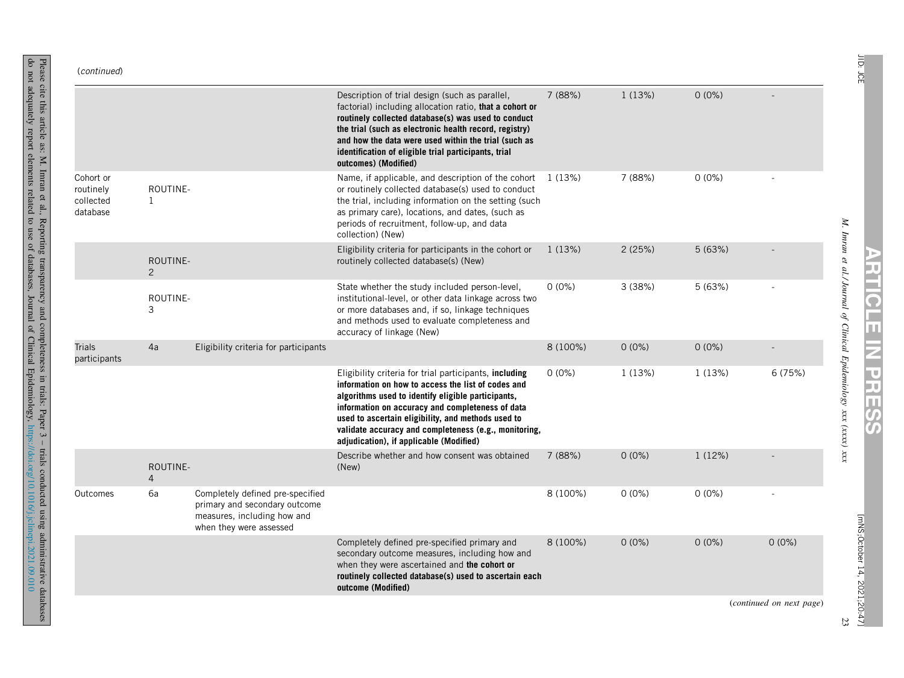| (continued) |
|-------------|
|             |

do not

adequately

report

elements

related  $\overline{c}$ use of

Reporting

transparency

databases,

Journal of **Clinical** 

and

completeness

in trials:

Epidemiology,

Paper 3 – trials

conducted

using

<https://doi.org/10.1016/j.jclinepi.2021.09.010>

administrative

databases

|                                                 |                            |                                                                                                                             | Description of trial design (such as parallel,<br>factorial) including allocation ratio, that a cohort or<br>routinely collected database(s) was used to conduct<br>the trial (such as electronic health record, registry)<br>and how the data were used within the trial (such as<br>identification of eligible trial participants, trial<br>outcomes) (Modified)               | 7 (88%)  | 1(13%)   | $0(0\%)$ |                          |
|-------------------------------------------------|----------------------------|-----------------------------------------------------------------------------------------------------------------------------|----------------------------------------------------------------------------------------------------------------------------------------------------------------------------------------------------------------------------------------------------------------------------------------------------------------------------------------------------------------------------------|----------|----------|----------|--------------------------|
| Cohort or<br>routinely<br>collected<br>database | ROUTINE-<br>1              |                                                                                                                             | Name, if applicable, and description of the cohort<br>or routinely collected database(s) used to conduct<br>the trial, including information on the setting (such<br>as primary care), locations, and dates, (such as<br>periods of recruitment, follow-up, and data<br>collection) (New)                                                                                        | 1 (13%)  | 7 (88%)  | $0(0\%)$ |                          |
|                                                 | ROUTINE-<br>2              |                                                                                                                             | Eligibility criteria for participants in the cohort or<br>routinely collected database(s) (New)                                                                                                                                                                                                                                                                                  | 1(13%)   | 2(25%)   | 5(63%)   |                          |
|                                                 | ROUTINE-<br>3              |                                                                                                                             | State whether the study included person-level,<br>institutional-level, or other data linkage across two<br>or more databases and, if so, linkage techniques<br>and methods used to evaluate completeness and<br>accuracy of linkage (New)                                                                                                                                        | $0(0\%)$ | 3(38%)   | 5(63%)   |                          |
| <b>Trials</b><br>participants                   | 4a                         | Eligibility criteria for participants                                                                                       |                                                                                                                                                                                                                                                                                                                                                                                  | 8 (100%) | $0(0\%)$ | $0(0\%)$ |                          |
|                                                 |                            |                                                                                                                             | Eligibility criteria for trial participants, including<br>information on how to access the list of codes and<br>algorithms used to identify eligible participants,<br>information on accuracy and completeness of data<br>used to ascertain eligibility, and methods used to<br>validate accuracy and completeness (e.g., monitoring,<br>adjudication), if applicable (Modified) | $0(0\%)$ | 1(13%)   | 1(13%)   | 6(75%)                   |
|                                                 | ROUTINE-<br>$\overline{4}$ |                                                                                                                             | Describe whether and how consent was obtained<br>(New)                                                                                                                                                                                                                                                                                                                           | 7(88%)   | $0(0\%)$ | 1(12%)   |                          |
| Outcomes                                        | 6a                         | Completely defined pre-specified<br>primary and secondary outcome<br>measures, including how and<br>when they were assessed |                                                                                                                                                                                                                                                                                                                                                                                  | 8 (100%) | $0(0\%)$ | $0(0\%)$ |                          |
|                                                 |                            |                                                                                                                             | Completely defined pre-specified primary and<br>secondary outcome measures, including how and<br>when they were ascertained and the cohort or<br>routinely collected database(s) used to ascertain each<br>outcome (Modified)                                                                                                                                                    | 8 (100%) | $0(0\%)$ | $0(0\%)$ | $0(0\%)$                 |
|                                                 |                            |                                                                                                                             |                                                                                                                                                                                                                                                                                                                                                                                  |          |          |          | (continued on next page) |

*M. Imran et al./ Journal of Clinical Epidemiology xxx (xxxx) xxx*

**ARTICLE**

**Iz** 

**PRESS**

23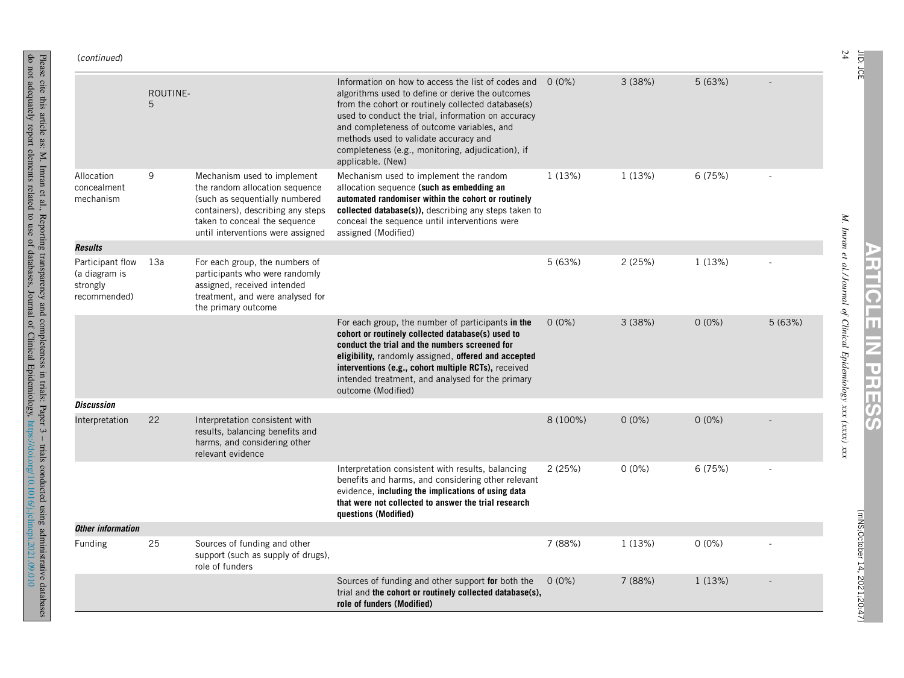| (continued)                                                   |               |                                                                                                                                                                                                            |                                                                                                                                                                                                                                                                                                                                                                                     |          |          |          |        |
|---------------------------------------------------------------|---------------|------------------------------------------------------------------------------------------------------------------------------------------------------------------------------------------------------------|-------------------------------------------------------------------------------------------------------------------------------------------------------------------------------------------------------------------------------------------------------------------------------------------------------------------------------------------------------------------------------------|----------|----------|----------|--------|
|                                                               | ROUTINE-<br>5 |                                                                                                                                                                                                            | Information on how to access the list of codes and<br>algorithms used to define or derive the outcomes<br>from the cohort or routinely collected database(s)<br>used to conduct the trial, information on accuracy<br>and completeness of outcome variables, and<br>methods used to validate accuracy and<br>completeness (e.g., monitoring, adjudication), if<br>applicable. (New) | $0(0\%)$ | 3(38%)   | 5(63%)   |        |
| Allocation<br>concealment<br>mechanism                        | 9             | Mechanism used to implement<br>the random allocation sequence<br>(such as sequentially numbered<br>containers), describing any steps<br>taken to conceal the sequence<br>until interventions were assigned | Mechanism used to implement the random<br>allocation sequence (such as embedding an<br>automated randomiser within the cohort or routinely<br>collected database(s)), describing any steps taken to<br>conceal the sequence until interventions were<br>assigned (Modified)                                                                                                         | 1(13%)   | 1(13%)   | 6(75%)   |        |
| <b>Results</b>                                                |               |                                                                                                                                                                                                            |                                                                                                                                                                                                                                                                                                                                                                                     |          |          |          |        |
| Participant flow<br>(a diagram is<br>strongly<br>recommended) | 13a           | For each group, the numbers of<br>participants who were randomly<br>assigned, received intended<br>treatment, and were analysed for<br>the primary outcome                                                 |                                                                                                                                                                                                                                                                                                                                                                                     | 5(63%)   | 2(25%)   | 1(13%)   |        |
|                                                               |               |                                                                                                                                                                                                            | For each group, the number of participants in the<br>cohort or routinely collected database(s) used to<br>conduct the trial and the numbers screened for<br>eligibility, randomly assigned, offered and accepted<br>interventions (e.g., cohort multiple RCTs), received<br>intended treatment, and analysed for the primary<br>outcome (Modified)                                  | $0(0\%)$ | 3(38%)   | $0(0\%)$ | 5(63%) |
| <b>Discussion</b>                                             |               |                                                                                                                                                                                                            |                                                                                                                                                                                                                                                                                                                                                                                     |          |          |          |        |
| Interpretation                                                | 22            | Interpretation consistent with<br>results, balancing benefits and<br>harms, and considering other<br>relevant evidence                                                                                     |                                                                                                                                                                                                                                                                                                                                                                                     | 8 (100%) | $0(0\%)$ | $0(0\%)$ |        |
|                                                               |               |                                                                                                                                                                                                            | Interpretation consistent with results, balancing<br>benefits and harms, and considering other relevant<br>evidence, including the implications of using data<br>that were not collected to answer the trial research<br>questions (Modified)                                                                                                                                       | 2(25%)   | $0(0\%)$ | 6(75%)   |        |
| Other information                                             |               |                                                                                                                                                                                                            |                                                                                                                                                                                                                                                                                                                                                                                     |          |          |          |        |
| Funding                                                       | 25            | Sources of funding and other<br>support (such as supply of drugs),<br>role of funders                                                                                                                      |                                                                                                                                                                                                                                                                                                                                                                                     | 7 (88%)  | 1(13%)   | $0(0\%)$ |        |
|                                                               |               |                                                                                                                                                                                                            | Sources of funding and other support for both the<br>trial and the cohort or routinely collected database(s),<br>role of funders (Modified)                                                                                                                                                                                                                                         | $0(0\%)$ | 7 (88%)  | 1(13%)   |        |

24 JID:

JCE

*M.*

*Imran et al./ Journal of Clinical Epidemiology xxx (xxxx)* **ARTICLE Iz PRESS**

*xxx*

[mNS;October [mNS;October 14, 2021;20:47] 2021;20:47]